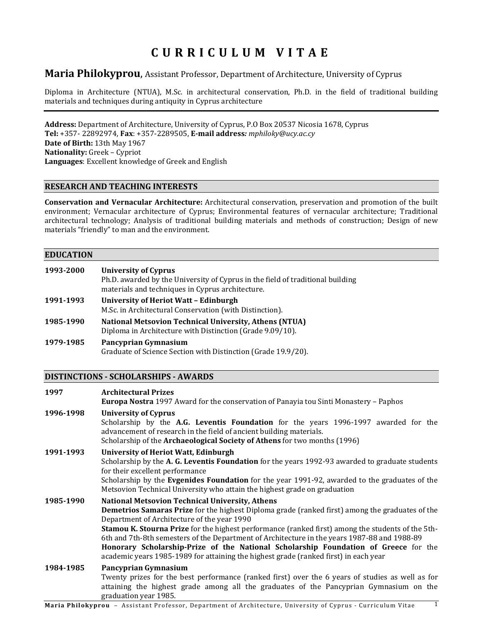# **CURRICULUM VITAE**

# **Maria Philokyprou**, Assistant Professor, Department of Architecture, University of Cyprus

Diploma in Architecture (NTUΑ), M.Sc. in architectural conservation, Ph.D. in the field of traditional building materials and techniques during antiquity in Cyprus architecture

**Address:** Department of Architecture, University of Cyprus, P.O Box 20537 Nicosia 1678, Cyprus **Tel:** +357- 22892974, **Fax**: +357-2289505, **E-mail address***: mphiloky@ucy.ac.cy*  **Date of Birth:** 13th May 1967 **Nationality:** Greek – Cypriot **Languages**: Excellent knowledge of Greek and English

# **RESEARCH AND TEACHING INTERESTS**

**Conservation and Vernacular Architecture:** Architectural conservation, preservation and promotion of the built environment; Vernacular architecture of Cyprus; Environmental features of vernacular architecture; Traditional architectural technology; Analysis of traditional building materials and methods of construction; Design of new materials "friendly" to man and the environment.

### **EDUCATION**

| 1993-2000 | <b>University of Cyprus</b><br>Ph.D. awarded by the University of Cyprus in the field of traditional building<br>materials and techniques in Cyprus architecture. |
|-----------|-------------------------------------------------------------------------------------------------------------------------------------------------------------------|
| 1991-1993 | <b>University of Heriot Watt - Edinburgh</b><br>M.Sc. in Architectural Conservation (with Distinction).                                                           |
| 1985-1990 | <b>National Metsovion Technical University, Athens (NTUA)</b><br>Diploma in Architecture with Distinction (Grade 9.09/10).                                        |
| 1979-1985 | Pancyprian Gymnasium<br>Graduate of Science Section with Distinction (Grade 19.9/20).                                                                             |

### **DISTINCTIONS - SCHOLARSHIPS - AWARDS**

| 1997      | <b>Architectural Prizes</b><br><b>Europa Nostra</b> 1997 Award for the conservation of Panayia tou Sinti Monastery - Paphos                                                                                                                                                                                                                                                                                                                                                                                                                                                                         |  |
|-----------|-----------------------------------------------------------------------------------------------------------------------------------------------------------------------------------------------------------------------------------------------------------------------------------------------------------------------------------------------------------------------------------------------------------------------------------------------------------------------------------------------------------------------------------------------------------------------------------------------------|--|
| 1996-1998 | <b>University of Cyprus</b><br>Scholarship by the A.G. Leventis Foundation for the years 1996-1997 awarded for the<br>advancement of research in the field of ancient building materials.<br>Scholarship of the Archaeological Society of Athens for two months (1996)                                                                                                                                                                                                                                                                                                                              |  |
| 1991-1993 | <b>University of Heriot Watt, Edinburgh</b><br>Scholarship by the A. G. Leventis Foundation for the years 1992-93 awarded to graduate students<br>for their excellent performance<br>Scholarship by the Evgenides Foundation for the year 1991-92, awarded to the graduates of the<br>Metsovion Technical University who attain the highest grade on graduation                                                                                                                                                                                                                                     |  |
| 1985-1990 | <b>National Metsovion Technical University, Athens</b><br><b>Demetrios Samaras Prize</b> for the highest Diploma grade (ranked first) among the graduates of the<br>Department of Architecture of the year 1990<br>Stamou K. Stourna Prize for the highest performance (ranked first) among the students of the 5th-<br>6th and 7th-8th semesters of the Department of Architecture in the years 1987-88 and 1988-89<br>Honorary Scholarship-Prize of the National Scholarship Foundation of Greece for the<br>academic years 1985-1989 for attaining the highest grade (ranked first) in each year |  |
| 1984-1985 | Pancyprian Gymnasium<br>Twenty prizes for the best performance (ranked first) over the 6 years of studies as well as for<br>attaining the highest grade among all the graduates of the Pancyprian Gymnasium on the<br>graduation year 1985.                                                                                                                                                                                                                                                                                                                                                         |  |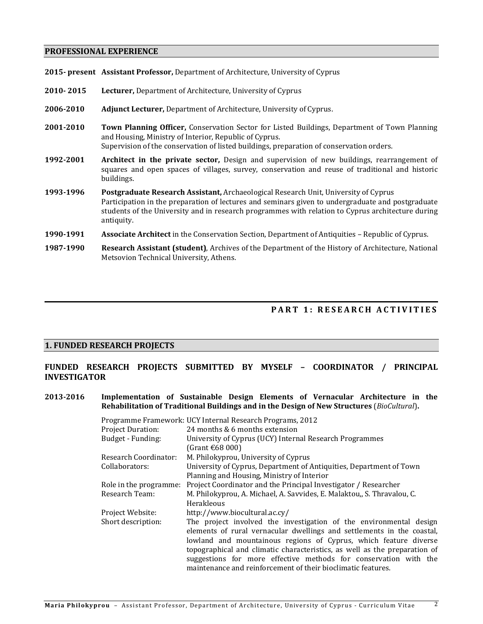# **PROFESSIONAL EXPERIENCE**

|           | 2015- present Assistant Professor, Department of Architecture, University of Cyprus                                                                                                                                                                                                                         |  |
|-----------|-------------------------------------------------------------------------------------------------------------------------------------------------------------------------------------------------------------------------------------------------------------------------------------------------------------|--|
| 2010-2015 | Lecturer, Department of Architecture, University of Cyprus                                                                                                                                                                                                                                                  |  |
| 2006-2010 | <b>Adjunct Lecturer, Department of Architecture, University of Cyprus.</b>                                                                                                                                                                                                                                  |  |
| 2001-2010 | Town Planning Officer, Conservation Sector for Listed Buildings, Department of Town Planning<br>and Housing, Ministry of Interior, Republic of Cyprus.<br>Supervision of the conservation of listed buildings, preparation of conservation orders.                                                          |  |
| 1992-2001 | Architect in the private sector, Design and supervision of new buildings, rearrangement of<br>squares and open spaces of villages, survey, conservation and reuse of traditional and historic<br>buildings.                                                                                                 |  |
| 1993-1996 | Postgraduate Research Assistant, Archaeological Research Unit, University of Cyprus<br>Participation in the preparation of lectures and seminars given to undergraduate and postgraduate<br>students of the University and in research programmes with relation to Cyprus architecture during<br>antiquity. |  |
| 1990-1991 | <b>Associate Architect</b> in the Conservation Section, Department of Antiquities – Republic of Cyprus.                                                                                                                                                                                                     |  |
| 1987-1990 | Research Assistant (student), Archives of the Department of the History of Architecture, National                                                                                                                                                                                                           |  |

# **PART 1: RESEARCH AC TIVITIES**

# **1. FUNDED RESEARCH PROJECTS**

Metsovion Technical University, Athens.

# **FUNDED RESEARCH PROJECTS SUBMITTED BY MYSELF – COORDINATOR / PRINCIPAL INVESTIGATOR**

# **2013-2016 Ιmplementation of Sustainable Design Elements of Vernacular Architecture in the Rehabilitation of Traditional Buildings and in the Design of New Structures** (*BioCultural*)**.**

|                              | Programme Framework: UCY Internal Research Programs, 2012                                                                                                                                                                                                                         |
|------------------------------|-----------------------------------------------------------------------------------------------------------------------------------------------------------------------------------------------------------------------------------------------------------------------------------|
| <b>Project Duration:</b>     | 24 months & 6 months extension                                                                                                                                                                                                                                                    |
| Budget - Funding:            | University of Cyprus (UCY) Internal Research Programmes                                                                                                                                                                                                                           |
|                              | (Grant $\epsilon$ 68 000)                                                                                                                                                                                                                                                         |
| <b>Research Coordinator:</b> | M. Philokyprou, University of Cyprus                                                                                                                                                                                                                                              |
| Collaborators:               | University of Cyprus, Department of Antiquities, Department of Town                                                                                                                                                                                                               |
|                              | Planning and Housing, Ministry of Interior                                                                                                                                                                                                                                        |
| Role in the programme:       | Project Coordinator and the Principal Investigator / Researcher                                                                                                                                                                                                                   |
| Research Team:               | M. Philokyprou, A. Michael, A. Savvides, E. Malaktou,, S. Thravalou, C.                                                                                                                                                                                                           |
|                              | Herakleous                                                                                                                                                                                                                                                                        |
| Project Website:             | http://www.biocultural.ac.cy/                                                                                                                                                                                                                                                     |
| Short description:           | The project involved the investigation of the environmental design<br>elements of rural vernacular dwellings and settlements in the coastal,                                                                                                                                      |
|                              | lowland and mountainous regions of Cyprus, which feature diverse<br>topographical and climatic characteristics, as well as the preparation of<br>suggestions for more effective methods for conservation with the<br>maintenance and reinforcement of their bioclimatic features. |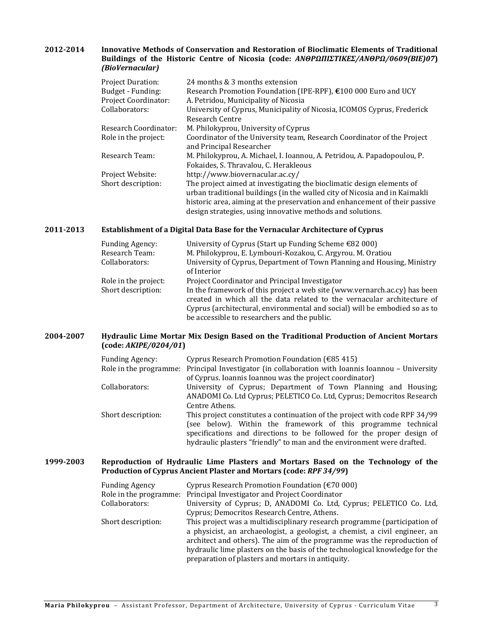## **2012-2014 Innovative Methods of Conservation and Restoration of Bioclimatic Elements of Traditional Buildings of the Historic Centre of Nicosia (code:** *ANΘΡΩΠΙΣΤΙΚΕΣ/ΑΝΘΡΩ/0609(ΒΙΕ)07***)**  *(BioVernacular)*

| <b>Project Duration:</b>    | 24 months & 3 months extension                                             |
|-----------------------------|----------------------------------------------------------------------------|
| Budget - Funding:           | Research Promotion Foundation (IPE-RPF), €100 000 Euro and UCY             |
| <b>Project Coordinator:</b> | A. Petridou, Municipality of Nicosia                                       |
| Collaborators:              | University of Cyprus, Municipality of Nicosia, ICOMOS Cyprus, Frederick    |
|                             | Research Centre                                                            |
| Research Coordinator:       | M. Philokyprou, University of Cyprus                                       |
| Role in the project:        | Coordinator of the University team, Research Coordinator of the Project    |
|                             | and Principal Researcher                                                   |
| Research Team:              | M. Philokyprou, A. Michael, I. Ioannou, A. Petridou, A. Papadopoulou, P.   |
|                             | Fokaides, S. Thravalou, C. Herakleous                                      |
| Project Website:            | http://www.biovernacular.ac.cy/                                            |
| Short description:          | The project aimed at investigating the bioclimatic design elements of      |
|                             | urban traditional buildings (in the walled city of Nicosia and in Kaimakli |
|                             | historic area, aiming at the preservation and enhancement of their passive |
|                             | design strategies, using innovative methods and solutions.                 |

# **2011-2013 Establishment of a Digital Data Base for the Vernacular Architecture of Cyprus**

| <b>Funding Agency:</b><br>Research Team:<br>Collaborators: | University of Cyprus (Start up Funding Scheme $\epsilon$ 82 000)<br>M. Philokyprou, E. Lymbouri-Kozakou, C. Argyrou. M. Oratiou<br>University of Cyprus, Department of Town Planning and Housing, Ministry                                                                         |
|------------------------------------------------------------|------------------------------------------------------------------------------------------------------------------------------------------------------------------------------------------------------------------------------------------------------------------------------------|
|                                                            | of Interior                                                                                                                                                                                                                                                                        |
| Role in the project:                                       | Project Coordinator and Principal Investigator                                                                                                                                                                                                                                     |
| Short description:                                         | In the framework of this project a web site (www.vernarch.ac.cy) has been<br>created in which all the data related to the vernacular architecture of<br>Cyprus (architectural, environmental and social) will be embodied so as to<br>be accessible to researchers and the public. |

# **2004-2007 Hydraulic Lime Mortar Mix Design Based on the Traditional Production of Ancient Mortars (code:** *AKIPE/0204/01***)**

| <b>Funding Agency:</b> | Cyprus Research Promotion Foundation ( $\epsilon$ 85 415)<br>Role in the programme: Principal Investigator (in collaboration with Ioannis Ioannou - University |
|------------------------|----------------------------------------------------------------------------------------------------------------------------------------------------------------|
|                        | of Cyprus. Ioannis Ioannou was the project coordinator)                                                                                                        |
| Collaborators:         | University of Cyprus; Department of Town Planning and Housing;<br>ANADOMI Co. Ltd Cyprus; PELETICO Co. Ltd, Cyprus; Democritos Research                        |
|                        | Centre Athens.                                                                                                                                                 |
| Short description:     | This project constitutes a continuation of the project with code RPF 34/99                                                                                     |
|                        | (see below). Within the framework of this programme technical<br>specifications and directions to be followed for the proper design of                         |
|                        |                                                                                                                                                                |
|                        | hydraulic plasters "friendly" to man and the environment were drafted.                                                                                         |

### **1999-2003 Reproduction of Hydraulic Lime Plasters and Mortars Based on the Technology of the Production of Cyprus Ancient Plaster and Mortars (code:** *RPF 34/99***)**

| <b>Funding Agency</b> | Cyprus Research Promotion Foundation ( $\epsilon$ 70 000)                   |
|-----------------------|-----------------------------------------------------------------------------|
|                       | Role in the programme: Principal Investigator and Project Coordinator       |
| Collaborators:        | University of Cyprus; D, ANADOMI Co. Ltd, Cyprus; PELETICO Co. Ltd,         |
|                       | Cyprus; Democritos Research Centre, Athens.                                 |
| Short description:    | This project was a multidisciplinary research programme (participation of   |
|                       | a physicist, an archaeologist, a geologist, a chemist, a civil engineer, an |
|                       | architect and others). The aim of the programme was the reproduction of     |
|                       | hydraulic lime plasters on the basis of the technological knowledge for the |
|                       | preparation of plasters and mortars in antiquity.                           |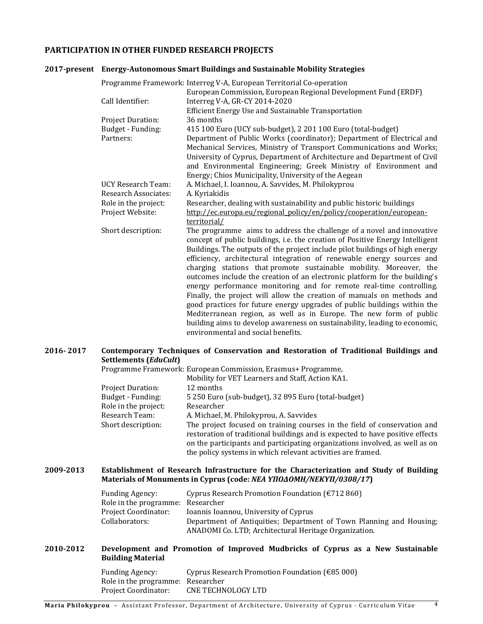# **PARTICIPATION IN OTHER FUNDED RESEARCH PROJECTS**

#### **2017-present Energy-Autonomous Smart Buildings and Sustainable Mobility Strategies**

| Programme Framework: Interreg V-A, European Territorial Co-operation                          |                                                                                                                                                                                                                                                                                                                                                                                                                                                                                                                                                                                                                                                                                                                                                                                                                                                                                                                                                                                                                                                                                                                                                                            |  |
|-----------------------------------------------------------------------------------------------|----------------------------------------------------------------------------------------------------------------------------------------------------------------------------------------------------------------------------------------------------------------------------------------------------------------------------------------------------------------------------------------------------------------------------------------------------------------------------------------------------------------------------------------------------------------------------------------------------------------------------------------------------------------------------------------------------------------------------------------------------------------------------------------------------------------------------------------------------------------------------------------------------------------------------------------------------------------------------------------------------------------------------------------------------------------------------------------------------------------------------------------------------------------------------|--|
|                                                                                               | European Commission, European Regional Development Fund (ERDF)                                                                                                                                                                                                                                                                                                                                                                                                                                                                                                                                                                                                                                                                                                                                                                                                                                                                                                                                                                                                                                                                                                             |  |
| Call Identifier:                                                                              | Interreg V-A, GR-CY 2014-2020                                                                                                                                                                                                                                                                                                                                                                                                                                                                                                                                                                                                                                                                                                                                                                                                                                                                                                                                                                                                                                                                                                                                              |  |
|                                                                                               | Efficient Energy Use and Sustainable Transportation                                                                                                                                                                                                                                                                                                                                                                                                                                                                                                                                                                                                                                                                                                                                                                                                                                                                                                                                                                                                                                                                                                                        |  |
| <b>Project Duration:</b>                                                                      | 36 months                                                                                                                                                                                                                                                                                                                                                                                                                                                                                                                                                                                                                                                                                                                                                                                                                                                                                                                                                                                                                                                                                                                                                                  |  |
| Budget - Funding:                                                                             | 415 100 Euro (UCY sub-budget), 2 201 100 Euro (total-budget)                                                                                                                                                                                                                                                                                                                                                                                                                                                                                                                                                                                                                                                                                                                                                                                                                                                                                                                                                                                                                                                                                                               |  |
| Partners:                                                                                     | Department of Public Works (coordinator); Department of Electrical and                                                                                                                                                                                                                                                                                                                                                                                                                                                                                                                                                                                                                                                                                                                                                                                                                                                                                                                                                                                                                                                                                                     |  |
|                                                                                               | Mechanical Services, Ministry of Transport Communications and Works;                                                                                                                                                                                                                                                                                                                                                                                                                                                                                                                                                                                                                                                                                                                                                                                                                                                                                                                                                                                                                                                                                                       |  |
|                                                                                               | University of Cyprus, Department of Architecture and Department of Civil                                                                                                                                                                                                                                                                                                                                                                                                                                                                                                                                                                                                                                                                                                                                                                                                                                                                                                                                                                                                                                                                                                   |  |
|                                                                                               | and Environmental Engineering; Greek Ministry of Environment and                                                                                                                                                                                                                                                                                                                                                                                                                                                                                                                                                                                                                                                                                                                                                                                                                                                                                                                                                                                                                                                                                                           |  |
|                                                                                               |                                                                                                                                                                                                                                                                                                                                                                                                                                                                                                                                                                                                                                                                                                                                                                                                                                                                                                                                                                                                                                                                                                                                                                            |  |
|                                                                                               |                                                                                                                                                                                                                                                                                                                                                                                                                                                                                                                                                                                                                                                                                                                                                                                                                                                                                                                                                                                                                                                                                                                                                                            |  |
|                                                                                               |                                                                                                                                                                                                                                                                                                                                                                                                                                                                                                                                                                                                                                                                                                                                                                                                                                                                                                                                                                                                                                                                                                                                                                            |  |
|                                                                                               |                                                                                                                                                                                                                                                                                                                                                                                                                                                                                                                                                                                                                                                                                                                                                                                                                                                                                                                                                                                                                                                                                                                                                                            |  |
|                                                                                               | territorial/                                                                                                                                                                                                                                                                                                                                                                                                                                                                                                                                                                                                                                                                                                                                                                                                                                                                                                                                                                                                                                                                                                                                                               |  |
| Short description:                                                                            |                                                                                                                                                                                                                                                                                                                                                                                                                                                                                                                                                                                                                                                                                                                                                                                                                                                                                                                                                                                                                                                                                                                                                                            |  |
|                                                                                               |                                                                                                                                                                                                                                                                                                                                                                                                                                                                                                                                                                                                                                                                                                                                                                                                                                                                                                                                                                                                                                                                                                                                                                            |  |
|                                                                                               |                                                                                                                                                                                                                                                                                                                                                                                                                                                                                                                                                                                                                                                                                                                                                                                                                                                                                                                                                                                                                                                                                                                                                                            |  |
|                                                                                               |                                                                                                                                                                                                                                                                                                                                                                                                                                                                                                                                                                                                                                                                                                                                                                                                                                                                                                                                                                                                                                                                                                                                                                            |  |
|                                                                                               |                                                                                                                                                                                                                                                                                                                                                                                                                                                                                                                                                                                                                                                                                                                                                                                                                                                                                                                                                                                                                                                                                                                                                                            |  |
|                                                                                               |                                                                                                                                                                                                                                                                                                                                                                                                                                                                                                                                                                                                                                                                                                                                                                                                                                                                                                                                                                                                                                                                                                                                                                            |  |
|                                                                                               |                                                                                                                                                                                                                                                                                                                                                                                                                                                                                                                                                                                                                                                                                                                                                                                                                                                                                                                                                                                                                                                                                                                                                                            |  |
|                                                                                               |                                                                                                                                                                                                                                                                                                                                                                                                                                                                                                                                                                                                                                                                                                                                                                                                                                                                                                                                                                                                                                                                                                                                                                            |  |
|                                                                                               |                                                                                                                                                                                                                                                                                                                                                                                                                                                                                                                                                                                                                                                                                                                                                                                                                                                                                                                                                                                                                                                                                                                                                                            |  |
|                                                                                               |                                                                                                                                                                                                                                                                                                                                                                                                                                                                                                                                                                                                                                                                                                                                                                                                                                                                                                                                                                                                                                                                                                                                                                            |  |
|                                                                                               |                                                                                                                                                                                                                                                                                                                                                                                                                                                                                                                                                                                                                                                                                                                                                                                                                                                                                                                                                                                                                                                                                                                                                                            |  |
| <b>UCY Research Team:</b><br>Research Associates:<br>Role in the project:<br>Project Website: | Energy; Chios Municipality, University of the Aegean<br>A. Michael, I. Ioannou, A. Savvides, M. Philokyprou<br>A. Kyriakidis<br>Researcher, dealing with sustainability and public historic buildings<br>http://ec.europa.eu/regional_policy/en/policy/cooperation/european-<br>The programme aims to address the challenge of a novel and innovative<br>concept of public buildings, i.e. the creation of Positive Energy Intelligent<br>Buildings. The outputs of the project include pilot buildings of high energy<br>efficiency, architectural integration of renewable energy sources and<br>charging stations that promote sustainable mobility. Moreover, the<br>outcomes include the creation of an electronic platform for the building's<br>energy performance monitoring and for remote real-time controlling.<br>Finally, the project will allow the creation of manuals on methods and<br>good practices for future energy upgrades of public buildings within the<br>Mediterranean region, as well as in Europe. The new form of public<br>building aims to develop awareness on sustainability, leading to economic,<br>environmental and social benefits. |  |

## **2016- 2017 Contemporary Techniques of Conservation and Restoration of Traditional Buildings and Settlements (***EduCult***)**

Programme Framework: European Commission, Erasmus+ Programme,

|                          | Mobility for VET Learners and Staff, Action KA1.                              |
|--------------------------|-------------------------------------------------------------------------------|
| <b>Project Duration:</b> | 12 months                                                                     |
| Budget - Funding:        | 5 250 Euro (sub-budget), 32 895 Euro (total-budget)                           |
| Role in the project:     | Researcher                                                                    |
| Research Team:           | A. Michael, M. Philokyprou, A. Savvides                                       |
| Short description:       | The project focused on training courses in the field of conservation and      |
|                          | restoration of traditional buildings and is expected to have positive effects |
|                          | on the participants and participating organizations involved, as well as on   |
|                          | the policy systems in which relevant activities are framed.                   |

#### **2009-2013 Establishment of Research Infrastructure for the Characterization and Study of Building Materials of Monuments in Cyprus (code:** *ΝΕΑ ΥΠΟΔΟΜΗ/ΝΕΚΥΠ/0308/17***)**

| <b>Funding Agency:</b>            | Cyprus Research Promotion Foundation ( $\epsilon$ 712 860)                                                                   |
|-----------------------------------|------------------------------------------------------------------------------------------------------------------------------|
| Role in the programme: Researcher |                                                                                                                              |
| Project Coordinator:              | Ioannis Ioannou, University of Cyprus                                                                                        |
| Collaborators:                    | Department of Antiquities; Department of Town Planning and Housing;<br>ANADOMI Co. LTD; Architectural Heritage Organization. |

# **2010-2012 Development and Promotion of Improved Mudbricks of Cyprus as a New Sustainable Building Material**

| <b>Funding Agency:</b>            | Cyprus Research Promotion Foundation ( $\epsilon$ 85 000) |
|-----------------------------------|-----------------------------------------------------------|
| Role in the programme: Researcher |                                                           |
| <b>Project Coordinator:</b>       | CNE TECHNOLOGY LTD                                        |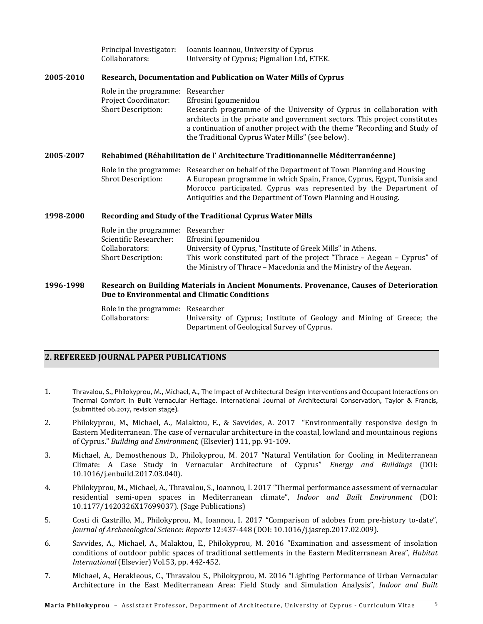|           | Principal Investigator:<br>Collaborators:                                                           | Ioannis Ioannou, University of Cyprus<br>University of Cyprus; Pigmalion Ltd, ETEK.                                                                                                                                                                                                                                      |
|-----------|-----------------------------------------------------------------------------------------------------|--------------------------------------------------------------------------------------------------------------------------------------------------------------------------------------------------------------------------------------------------------------------------------------------------------------------------|
| 2005-2010 |                                                                                                     | Research, Documentation and Publication on Water Mills of Cyprus                                                                                                                                                                                                                                                         |
|           | Role in the programme:<br>Project Coordinator:<br>Short Description:                                | Researcher<br>Efrosini Igoumenidou<br>Research programme of the University of Cyprus in collaboration with<br>architects in the private and government sectors. This project constitutes<br>a continuation of another project with the theme "Recording and Study of<br>the Traditional Cyprus Water Mills" (see below). |
| 2005-2007 |                                                                                                     | Rehabimed (Réhabilitation de l'Architecture Traditionannelle Méditerranéenne)                                                                                                                                                                                                                                            |
|           | Shrot Description:                                                                                  | Role in the programme: Researcher on behalf of the Department of Town Planning and Housing<br>A European programme in which Spain, France, Cyprus, Egypt, Tunisia and<br>Morocco participated. Cyprus was represented by the Department of<br>Antiquities and the Department of Town Planning and Housing.               |
| 1998-2000 |                                                                                                     | Recording and Study of the Traditional Cyprus Water Mills                                                                                                                                                                                                                                                                |
|           | Role in the programme: Researcher<br>Scientific Researcher:<br>Collaborators:<br>Short Description: | Efrosini Igoumenidou<br>University of Cyprus, "Institute of Greek Mills" in Athens.<br>This work constituted part of the project "Thrace - Aegean - Cyprus" of<br>the Ministry of Thrace - Macedonia and the Ministry of the Aegean.                                                                                     |
| 1996-1998 |                                                                                                     | Research on Building Materials in Ancient Monuments. Provenance, Causes of Deterioration<br>Due to Environmental and Climatic Conditions                                                                                                                                                                                 |
|           | Role in the programme: Researcher<br>Collaborators:                                                 | University of Cyprus; Institute of Geology and Mining of Greece; the<br>Department of Geological Survey of Cyprus.                                                                                                                                                                                                       |

# **2. REFEREED JOURNAL PAPER PUBLICATIONS**

- 1. Thravalou, S., Philokyprou, M., Michael, A., The Impact of Architectural Design Interventions and Occupant Interactions on Thermal Comfort in Built Vernacular Heritage. International Journal of Architectural Conservation, Taylor & Francis, (submitted 06.2017, revision stage).
- 2. Philokyprou, M., Michael, A., Malaktou, E., & Savvides, A. 2017 "Environmentally responsive design in Eastern Mediterranean. The case of vernacular architecture in the coastal, lowland and mountainous regions of Cyprus." *Building and Environment,* (Elsevier) 111, pp. 91-109.
- 3. Michael, A., Demosthenous D., Philokyprou, M. 2017 "Natural Ventilation for Cooling in Mediterranean Climate: A Case Study in Vernacular Architecture of Cyprus" *Energy and Buildings* (DOI: 10.1016/j.enbuild.2017.03.040).
- 4. Philokyprou, M., Michael, A., Thravalou, S., Ioannou, I. 2017 "Thermal performance assessment of vernacular residential semi-open spaces in Mediterranean climate", *Indoor and Built Environment* (DOI: 10.1177/1420326X17699037). (Sage Publications)
- 5. Costi di Castrillo, M., Philokyprou, M., Ioannou, I. 2017 "Comparison of adobes from pre-history to-date", *Journal of Archaeological Science: Reports* 12:437-448 (DOI: 10.1016/j.jasrep.2017.02.009).
- 6. Savvides, A., Michael, A., Malaktou, E., Philokyprou, M. 2016 "Examination and assessment of insolation conditions of outdoor public spaces of traditional settlements in the Eastern Mediterranean Area", *Habitat International* (Elsevier) Vol.53, pp. 442-452.
- 7. Michael, A., Herakleous, C., Thravalou S., Philokyprou, M. 2016 "Lighting Performance of Urban Vernacular Architecture in the East Mediterranean Area: Field Study and Simulation Analysis", *Indoor and Built*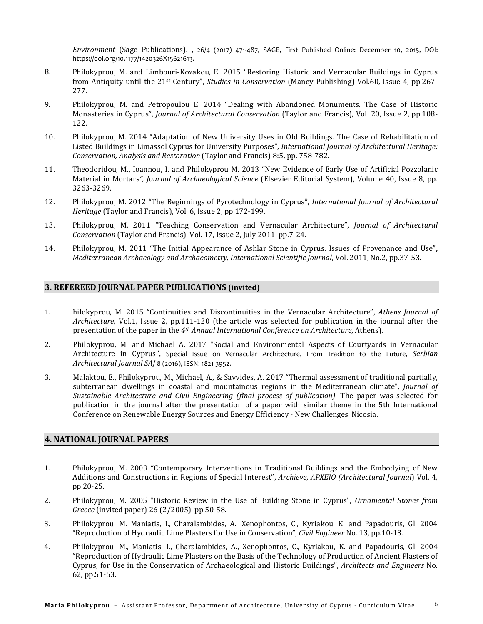*Environment* (Sage Publications)*.* , 26/4 (2017) 471-487, SAGE, First Published Online: December 10, 2015, DOI: https://doi.org/10.1177/1420326X15621613.

- 8. Philokyprou, M. and Limbouri-Kozakou, E. 2015 "Restoring Historic and Vernacular Buildings in Cyprus from Antiquity until the 21st Century", *Studies in Conservation* (Maney Publishing) Vol.60, Issue 4, pp.267- 277.
- 9. Philokyprou, M. and Petropoulou E. 2014 "Dealing with Abandoned Monuments. The Case of Historic Monasteries in Cyprus", *Journal of Architectural Conservation* (Taylor and Francis), Vol. 20, Issue 2, pp.108- 122.
- 10. Philokyprou, M. 2014 "Adaptation of New University Uses in Old Buildings. The Case of Rehabilitation of Listed Buildings in Limassol Cyprus for University Purposes", *International Journal of Architectural Heritage: Conservation, Analysis and Restoration* (Taylor and Francis) 8:5, pp. 758-782.
- 11. Theodoridou, M., Ioannou, I. and Philokyprou M. 2013 "New Evidence of Early Use of Artificial Pozzolanic Material in Mortars*", Journal of Archaeological Science* (Elsevier Editorial System), Volume 40, Issue 8, pp. 3263-3269.
- 12. Philokyprou, M. 2012 "The Beginnings of Pyrotechnology in Cyprus", *International Journal of Architectural Heritage* (Taylor and Francis), Vol. 6, Issue 2, pp.172-199.
- 13. Philokyprou, M. 2011 "Teaching Conservation and Vernacular Architecture", *Journal of Architectural Conservation* (Taylor and Francis), Vol. 17, Issue 2, July 2011, pp.7-24.
- 14. Philokyprou, M. 2011 "The Initial Appearance of Ashlar Stone in Cyprus. Ιssues of Provenance and Use"**,**  *Mediterranean Archaeology and Archaeometry, International Scientific Journal*, Vol. 2011, No.2, pp.37-53*.*

### **3. REFEREED JOURNAL PAPER PUBLICATIONS (invited)**

- 1. hilokyprou, M. 2015 "Continuities and Discontinuities in the Vernacular Architecture", *Athens Journal of Architecture*, Vol.1, Issue 2, pp.111-120 (the article was selected for publication in the journal after the presentation of the paper in the *4th Annual International Conference on Architecture*, Athens).
- 2. Philokyprou, M. and Michael A. 2017 "Social and Environmental Aspects of Courtyards in Vernacular Architecture in Cyprus", Special Issue on Vernacular Architecture, From Tradition to the Future, *Serbian Architectural Journal SAJ* 8 (2016), ISSN: 1821-3952.
- 3. Malaktou, E., Philokyprou, M., Michael, A., & Savvides, A. 2017 "Thermal assessment of traditional partially, subterranean dwellings in coastal and mountainous regions in the Mediterranean climate", *Journal of Sustainable Architecture and Civil Engineering (final process of publication)*. The paper was selected for publication in the journal after the presentation of a paper with similar theme in the 5th International Conference on Renewable Energy Sources and Energy Efficiency - New Challenges. Nicosia.

### **4. NATIONAL JOURNAL PAPERS**

- 1. Philokyprou, M. 2009 "Contemporary Interventions in Traditional Buildings and the Embodying of New Additions and Constructions in Regions of Special Interest", *Archieve*, *ΑΡΧΕΙΟ (Architectural Journal*) Vol. 4, pp.20-25.
- 2. Philokyprou, M. 2005 "Historic Review in the Use of Building Stone in Cyprus", *Ornamental Stones from Greece* (invited paper) 26 (2/2005), pp.50-58.
- 3. Philokyprou, M. Maniatis, I., Charalambides, A., Xenophontos, C., Kyriakou, K. and Papadouris, Gl. 2004 "Reproduction of Hydraulic Lime Plasters for Use in Conservation", *Civil Engineer* No. 13*,* pp.10-13.
- 4. Philokyprou, M., Maniatis, I., Charalambides, A., Xenophontos, C., Kyriakou, K. and Papadouris, Gl. 2004 "Reproduction of Hydraulic Lime Plasters on the Basis of the Technology of Production of Ancient Plasters of Cyprus, for Use in the Conservation of Archaeological and Historic Buildings", *Architects and Engineers* No. 62*,* pp.51-53.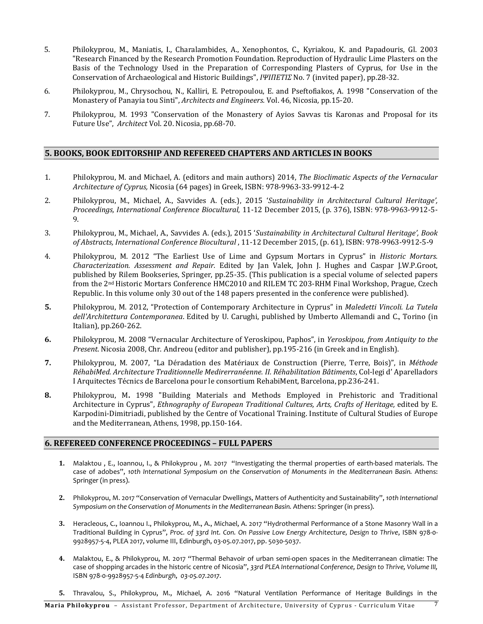- 5. Philokyprou, M., Maniatis, I., Charalambides, A., Xenophontos, C., Kyriakou, K. and Papadouris, Gl. 2003 "Research Financed by the Research Promotion Foundation. Reproduction of Hydraulic Lime Plasters on the Basis of the Technology Used in the Preparation of Corresponding Plasters of Cyprus, for Use in the Conservation of Archaeological and Historic Buildings", *ΙΨΙΠΕΤΙΣ* No. 7 (invited paper), pp.28-32.
- 6. Philokyprou, M., Chrysochou, N., Kalliri, E. Petropoulou, E. and Pseftofiakos, A. 1998 "Conservation of the Monastery of Panayia tou Sinti", *Architects and Engineers.* Vol. 46, Nicosia*,* pp.15-20.
- 7. Philokyprou, M. 1993 "Conservation of the Monastery of Ayios Savvas tis Karonas and Proposal for its Future Use", *Architect* Vol. 20. Nicosia, pp.68-70.

# **5. BOOKS, BOOK EDITORSHIP AND REFEREED CHAPTERS AND ARTICLES IN BOOKS**

- 1. Philokyprou, M. and Michael, A. (editors and main authors) 2014, *Τhe Bioclimatic Aspects of the Vernacular Architecture of Cyprus,* Nicosia (64 pages) in Greek, ISBN: 978-9963-33-9912-4-2
- 2. Philokyprou, M., Michael, A., Savvides A. (eds.), 2015 '*Sustainability in Architectural Cultural Heritage', Proceedings, International Conference Biocultural*, 11-12 December 2015, (p. 376), ISBN: 978-9963-9912-5- 9.
- 3. Philokyprou, M., Michael, A., Savvides A. (eds.), 2015 '*Sustainability in Architectural Cultural Heritage', Book of Abstracts, International Conference Biocultural* , 11-12 December 2015, (p. 61), ISBN: 978-9963-9912-5-9
- 4. Philokyprou, M. 2012 "The Earliest Use of Lime and Gypsum Mortars in Cyprus" in *Historic Mortars. Characterization. Assessment and Repair.* Edited by Jan Valek, John J. Hughes and Caspar J.W.P.Groot, published by Rilem Bookseries, Springer, pp.25-35. (This publication is a special volume of selected papers from the 2nd Historic Mortars Conference HMC2010 and RILEM TC 203-RHM Final Workshop, Prague, Czech Republic. In this volume only 30 out of the 148 papers presented in the conference were published).
- **5.** Philokyprou, M. 2012, "Protection of Contemporary Architecture in Cyprus" in *Maledetti Vincoli. La Tutela dell'Architettura Contemporanea*. Edited by U. Carughi, published by Umberto Allemandi and C., Torino (in Italian), pp.260-262.
- **6.** Philokyprou, M. 2008 "Vernacular Architecture of Yeroskipou, Paphos", in *Yeroskipou, from Antiquity to the Present*. Nicosia 2008, Chr. Andreou (editor and publisher), pp.195-216 (in Greek and in English).
- **7.** Philokyprou, M. 2007, "La Déradation des Matériaux de Construction (Pierre, Terre, Bois)", in *Méthode RéhabiMed. Architecture Traditionnelle Medirerranéenne. II. Réhabilitation Bâtiments*, Col-legi d' Aparelladors I Arquitectes Técnics de Barcelona pour le consortium RehabiMent, Barcelona, pp.236-241.
- **8.** Philokyprou, M**.** 1998 "Building Materials and Methods Employed in Prehistoric and Traditional Architecture in Cyprus", *Ethnography of European Traditional Cultures, Arts, Crafts of Heritage,* edited by E. Karpodini-Dimitriadi, published by the Centre of Vocational Training. Institute of Cultural Studies of Europe and the Mediterranean, Athens, 1998, pp.150-164.

# **6. REFEREED CONFERENCE PROCEEDINGS – FULL PAPERS**

- **1.** Malaktou , E., Ioannou, I., & Philokyprou , M. 2017 "Investigating the thermal properties of earth-based materials. The case of adobes", *10th International Symposium on the Conservation of Monuments in the Mediterranean Basin.* Athens: Springer (in press).
- **2.** Philokyprou, M. 2017 "Conservation of Vernacular Dwellings, Matters of Authenticity and Sustainability", *10th International Symposium on the Conservation of Monuments in the Mediterranean Basin.* Athens: Springer (in press).
- **3.** Heracleous, C., Ioannou I., Philokyprou, M., A., Michael, A. 2017 "Hydrothermal Performance of a Stone Masonry Wall in a Traditional Building in Cyprus", *Proc. of 33rd Int. Con. On Passive Low Energy Architecture, Design to Thrive*, ISBN 978-0- 9928957-5-4, PLEA 2017, volume III, Edinburgh, 03-05.07.2017, pp. 5030-5037.
- **4.** Malaktou, E., & Philokyprou, M. 2017 "Thermal Behavoir of urban semi-open spaces in the Mediterranean climatie: The case of shopping arcades in the historic centre of Nicosia", *33rd PLEA International Conference, Design to Thrive, Volume III,* ISBN 978-0-9928957-5-4 *Edinburgh*, *03-05.07.2017*.
- **5.** Thravalou, S., Philokyprou, M., Michael, A. 2016 "Natural Ventilation Performance of Heritage Buildings in the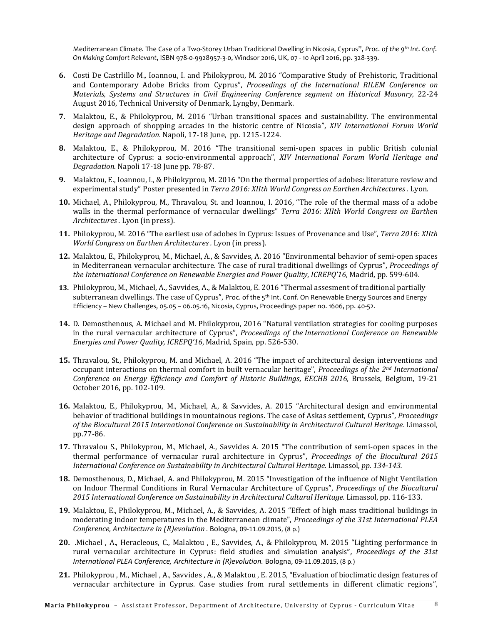Mediterranean Climate. The Case of a Two-Storey Urban Traditional Dwelling in Nicosia, Cyprus", *Proc. of the 9th Int. Conf. On Making Comfort Relevant*, ISBN 978-0-9928957-3-0, Windsor 2016, UK, 07 - 10 April 2016, pp. 328-339.

- **6.** Costi De Castrlillo M., Ioannou, I. and Philokyprou, M. 2016 "Comparative Study of Prehistoric, Traditional and Contemporary Adobe Bricks from Cyprus", *Proceedings of the International RILEM Conference on Materials, Systems and Structures in Civil Engineering Conference segment on Historical Masonry,* 22-24 August 2016, Technical University of Denmark, Lyngby, Denmark.
- **7.** Malaktou, E., & Philokyprou, M. 2016 "Urban transitional spaces and sustainability. The environmental design approach of shopping arcades in the historic centre of Nicosia", *XIV International Forum World Heritage and Degradation.* Napoli, 17-18 June, pp. 1215-1224.
- **8.** Malaktou, E., & Philokyprou, M. 2016 "The transitional semi-open spaces in public British colonial architecture of Cyprus: a socio-environmental approach", *XIV International Forum World Heritage and Degradation.* Napoli 17-18 June pp. 78-87.
- **9.** Malaktou, E., Ioannou, I., & Philokyprou, M. 2016 "On the thermal properties of adobes: literature review and experimental study" Poster presented in *Terra 2016: XIIth World Congress on Earthen Architectures .* Lyon.
- **10.** Michael, A., Philokyprou, M., Thravalou, St. and Ioannou, I. 2016, "The role of the thermal mass of a adobe walls in the thermal performance of vernacular dwellings" *Terra 2016: XIIth World Congress on Earthen Architectures .* Lyon (in press).
- **11.** Philokyprou, M. 2016 "Τhe earliest use of adobes in Cyprus: Issues of Provenance and Use", *Terra 2016: XIIth World Congress on Earthen Architectures .* Lyon (in press).
- **12.** Malaktou, E., Philokyprou, M., Michael, A., & Savvides, A. 2016 "Environmental behavior of semi-open spaces in Mediterranean vernacular architecture. The case of rural traditional dwellings of Cyprus", *Proceedings of the International Conference on Renewable Energies and Power Quality*, *ICREPQ'16*, Madrid, pp. 599-604.
- **13.** Philokyprou, M., Michael, A., Savvides, A., & Malaktou, E. 2016 "Thermal assesment of traditional partially subterranean dwellings. The case of Cyprus", Proc. of the 5<sup>th</sup> Int. Conf. On Renewable Energy Sources and Energy Efficiency – New Challenges, 05.05 – 06.05.16, Nicosia, Cyprus, Proceedings paper no. 1606, pp. 40-52.
- **14.** D. Demosthenous, A. Michael and M. Philokyprou, 2016 "Natural ventilation strategies for cooling purposes in the rural vernacular architecture of Cyprus", *Proceedings of the International Conference on Renewable Energies and Power Quality, ICREPQ'16*, Madrid, Spain, pp. 526-530.
- **15.** Thravalou, St., Philokyprou, M. and Michael, A. 2016 "The impact of architectural design interventions and occupant interactions on thermal comfort in built vernacular heritage", *Proceedings of the 2nd International Conference on Energy Efficiency and Comfort of Historic Buildings*, *EECHB 2016,* Brussels, Belgium, 19-21 October 2016, pp. 102-109.
- **16.** Malaktou, E., Philokyprou, M., Michael, A., & Savvides, A. 2015 "Architectural design and environmental behavior of traditional buildings in mountainous regions. The case of Askas settlement, Cyprus", *Proceedings of the Biocultural 2015 International Conference on Sustainability in Architectural Cultural Heritage.* Limassol, pp.77-86.
- **17.** Thravalou S., Philokyprou, M., Michael, A., Savvides A. 2015 "The contribution of semi-open spaces in the thermal performance of vernacular rural architecture in Cyprus", *Proceedings of the Biocultural 2015 International Conference on Sustainability in Architectural Cultural Heritage.* Limassol*, pp. 134-143.*
- **18.** Demosthenous, D., Michael, A. and Philokyprou, M. 2015 "Investigation of the influence of Night Ventilation on Indoor Thermal Conditions in Rural Vernacular Architecture of Cyprus", *Proceedings of the Biocultural 2015 International Conference on Sustainability in Architectural Cultural Heritage.* Limassol, pp. 116-133.
- **19.** Malaktou, E., Philokyprou, M., Michael, A., & Savvides, A. 2015 "Effect of high mass traditional buildings in moderating indoor temperatures in the Mediterranean climate", *Proceedings of the 31st International PLEA Conference, Architecture in (R)evolution .* Bologna, 09-11.09.2015, (8 p.)
- **20.** .Michael , A., Heracleous, C., Malaktou , E., Savvides, A., & Philokyprou, M. 2015 "Lighting performance in rural vernacular architecture in Cyprus: field studies and simulation analysis", *Proceedings of the 31st International PLEA Conference, Architecture in (R)evolution.* Bologna, 09-11.09.2015, (8 p.)
- **21.** Philokyprou , M., Michael , A., Savvides , A., & Malaktou , E. 2015, "Evaluation of bioclimatic design features of vernacular architecture in Cyprus. Case studies from rural settlements in different climatic regions",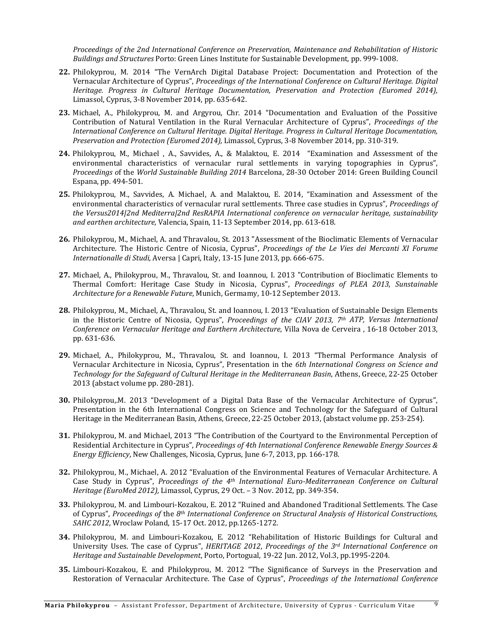*Proceedings of the 2nd International Conference on Preservation, Maintenance and Rehabilitation of Historic Buildings and Structures* Porto: Green Lines Institute for Sustainable Development, pp. 999-1008.

- **22.** Philokyprou, M. 2014 "The VernArch Digital Database Project: Documentation and Protection of the Vernacular Architecture of Cyprus", *Proceedings of the International Conference on Cultural Heritage. Digital Heritage. Progress in Cultural Heritage Documentation, Preservation and Protection (Euromed 2014),* Limassol, Cyprus, 3-8 November 2014, pp. 635-642.
- **23.** Michael, A., Philokyprou, M. and Argyrou, Chr. 2014 "Documentation and Evaluation of the Possitive Contribution of Natural Ventilation in the Rural Vernacular Architecture of Cyprus", *Proceedings of the International Conference on Cultural Heritage. Digital Heritage. Progress in Cultural Heritage Documentation, Preservation and Protection (Euromed 2014),* Limassol, Cyprus, 3-8 November 2014, pp. 310-319.
- **24.** Philokyprou, M., Michael , A., Savvides, A., & Malaktou, E. 2014 "Examination and Assessment of the environmental characteristics of vernacular rural settlements in varying topographies in Cyprus", *Proceedings o*f the *World Sustainable Building 2014* Barcelona, 28-30 October 2014: Green Building Council Espana, pp. 494-501.
- **25.** Philokyprou, M., Savvides, A. Michael, A. and Malaktou, E. 2014, "Examination and Assessment of the environmental characteristics of vernacular rural settlements. Three case studies in Cyprus", *Proceedings of the Versus2014|2nd Mediterra|2nd ResRAPIA International conference on vernacular heritage, sustainability and earthen architecture,* Valencia, Spain, 11-13 September 2014, pp. 613-618.
- **26.** Philokyprou, M., Michael, A. and Thravalou, St. 2013 "Assessment of the Bioclimatic Elements of Vernacular Architecture. The Historic Centre of Nicosia, Cyprus", *Proceedings of the Le Vies dei Mercanti XI Forume Internationalle di Studi,* Aversa | Capri, Italy, 13-15 June 2013, pp. 666-675.
- **27.** Michael, A., Philokyprou, M., Thravalou, St. and Ioannou, I. 2013 "Contribution of Bioclimatic Elements to Thermal Comfort: Heritage Case Study in Nicosia, Cyprus", *Proceedings of PLEA 2013, Sunstainable Architecture for a Renewable Future*, Munich, Germamy, 10-12 September 2013.
- **28.** Philokyprou, M., Michael, A., Thravalou, St. and Ioannou, I. 2013 "Evaluation of Sustainable Design Elements in the Historic Centre of Nicosia, Cyprus", *Proceedings of the CIAV 2013, 7th ATP, Versus International Conference on Vernacular Heritage and Earthern Architecture*, Villa Nova de Cerveira , 16-18 October 2013, pp. 631-636.
- **29.** Michael, A., Philokyprou, M., Thravalou, St. and Ioannou, I. 2013 "Thermal Performance Analysis of Vernacular Architecture in Nicosia, Cyprus", Presentation in the *6th International Congress on Science and Technology for the Safeguard of Cultural Heritage in the Mediterranean Basin*, Athens, Greece, 22-25 October 2013 (abstact volume pp. 280-281).
- **30.** Philokyprou,.M. 2013 "Development of a Digital Data Base of the Vernacular Architecture of Cyprus", Presentation in the 6th International Congress on Science and Technology for the Safeguard of Cultural Heritage in the Mediterranean Basin, Athens, Greece, 22-25 October 2013, (abstact volume pp. 253-254).
- **31.** Philokyprou, M. and Michael, 2013 "The Contribution of the Courtyard to the Environmental Perception of Residential Architecture in Cyprus", *Proceedings of 4th International Conference Renewable Energy Sources & Energy Efficiency*, New Challenges, Nicosia, Cyprus, June 6-7, 2013, pp. 166-178.
- **32.** Philokyprou, M., Michael, A. 2012 "Εvaluation of the Environmental Features of Vernacular Architecture. A Case Study in Cyprus", *Proceedings of the 4th International Euro-Mediterranean Conference on Cultural Heritage (EuroMed 2012),* Limassol, Cyprus, 29 Oct. – 3 Nov. 2012, pp. 349-354.
- **33.** Philokyprou, M. and Limbouri-Kozakou, E. 2012 "Ruined and Abandoned Traditional Settlements. The Case of Cyprus", *Proceedings of* the *8th International Conference on Structural Analysis of Historical Constructions, SAHC 2012*, Wroclaw Poland, 15-17 Oct. 2012, pp.1265-1272.
- **34.** Philokyprou, M. and Limbouri-Kozakou, E. 2012 "Rehabilitation of Historic Buildings for Cultural and University Uses. The case of Cyprus", *HERITAGE 2012*, *Proceedings of the 3rd International Conference on Heritage and Sustainable Development*, Porto, Portogual, 19-22 Jun. 2012, Vol.3, pp.1995-2204.
- **35.** Limbouri-Kozakou, E. and Philokyprou, M. 2012 "The Significance of Surveys in the Preservation and Restoration of Vernacular Architecture. The Case of Cyprus", *Proceedings of the International Conference*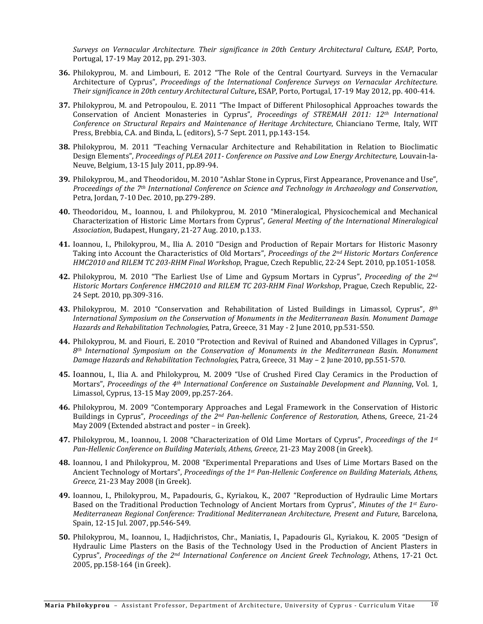*Surveys on Vernacular Architecture. Their significance in 20th Century Architectural Culture, ESAP*, Porto, Portugal, 17-19 May 2012, pp. 291-303.

- **36.** Philokyprou, M. and Limbouri, E. 2012 "The Role of the Central Courtyard. Surveys in the Vernacular Architecture of Cyprus", *Proceedings of the International Conference Surveys on Vernacular Architecture. Their significance in 20th century Architectural Culture***,** ESAP, Porto, Portugal, 17-19 May 2012, pp. 400-414.
- **37.** Philokyprou, M. and Petropoulou, E. 2011 "The Impact of Different Philosophical Approaches towards the Conservation of Ancient Monasteries in Cyprus", *Proceedings of STREMAH 2011: 12th International Conference on Structural Repairs and Maintenance of Heritage Architecture*, Chianciano Terme, Italy, WIT Press, Brebbia, C.A. and Binda, L. (editors), 5-7 Sept. 2011, pp.143-154.
- **38.** Philokyprou, M. 2011 "Teaching Vernacular Architecture and Rehabilitation in Relation to Bioclimatic Design Elements", *Proceedings of PLEA 2011- Conference on Passive and Low Energy Architecture*, Louvain-la-Neuve, Belgium, 13-15 July 2011, pp.89-94.
- **39.** Philokyprou, M., and Theodoridou, M. 2010 "Ashlar Stone in Cyprus, First Appearance, Provenance and Use", *Proceedings of the 7th International Conference on Science and Technology in Archaeology and Conservation*, Petra, Jordan, 7-10 Dec. 2010, pp.279-289.
- **40.** Theodoridou, M., Ioannou, I. and Philokyprou, M. 2010 "Mineralogical, Physicochemical and Mechanical Characterization of Historic Lime Mortars from Cyprus", *General Meeting of the International Mineralogical Association*, Budapest, Hungary, 21-27 Aug. 2010, p.133.
- **41.** Ioannou, I., Philokyprou, M., Ilia A. 2010 "Design and Production of Repair Mortars for Historic Masonry Taking into Account the Characteristics of Old Mortars", *Proceedings of the 2nd Historic Mortars Conference HMC2010 and RILEM TC 203-RHM Final Workshop*, Prague, Czech Republic, 22-24 Sept. 2010, pp.1051-1058.
- **42.** Philokyprou, M. 2010 "The Earliest Use of Lime and Gypsum Mortars in Cyprus", *Proceeding of the 2nd Historic Mortars Conference HMC2010 and RILEM TC 203-RHM Final Workshop*, Prague, Czech Republic, 22- 24 Sept. 2010, pp.309-316.
- **43.** Philokyprou, M. 2010 "Conservation and Rehabilitation of Listed Buildings in Limassol, Cyprus", *8th International Symposium on the Conservation of Monuments in the Mediterranean Basin. Monument Damage Hazards and Rehabilitation Technologies,* Patra, Greece, 31 May - 2 June 2010, pp.531-550.
- **44.** Philokyprou, M. and Fiouri, E. 2010 "Protection and Revival of Ruined and Abandoned Villages in Cyprus", *8th International Symposium on the Conservation of Monuments in the Mediterranean Basin. Monument Damage Hazards and Rehabilitation Technologies*, Patra, Greece, 31 May – 2 June, 2010, pp.551-570.
- **45.** Ιoannou, I., Ilia A. and Philokyprou, M. 2009 "Use of Crushed Fired Clay Ceramics in the Production of Mortars", *Proceedings of the 4th International Conference on Sustainable Development and Planning*, Vol. 1, Limassol, Cyprus, 13-15 May 2009, pp.257-264.
- **46.** Philokyprou, M. 2009 "Contemporary Approaches and Legal Framework in the Conservation of Historic Buildings in Cyprus", *Proceedings of the 2nd Pan-hellenic Conference of Restoration,* Athens, Greece, 21-24 May 2009 (Extended abstract and poster – in Greek).
- **47.** Philokyprou, M., Ioannou, I. 2008 "Characterization of Old Lime Mortars of Cyprus", *Proceedings of the 1st Pan-Hellenic Conference on Building Materials, Athens, Greece,* 21-23 May 2008 (in Greek).
- **48.** Ioannou, I and Philokyprou, M. 2008 "Experimental Preparations and Uses of Lime Mortars Based on the Ancient Technology of Mortars", *Proceedings of the 1st Pan-Hellenic Conference on Building Materials, Athens, Greece,* 21-23 May 2008 (in Greek).
- **49.** Ioannou, I., Philokyprou, M., Papadouris, G., Kyriakou, K., 2007 "Reproduction of Hydraulic Lime Mortars Based on the Traditional Production Technology of Ancient Mortars from Cyprus", *Minutes of the 1st Euro-Mediterranean Regional Conference: Traditional Mediterranean Architecture, Present and Future*, Barcelona, Spain, 12-15 Jul. 2007, pp.546-549.
- **50.** Philokyprou, M., Ioannou, I., Hadjichristos, Chr., Maniatis, I., Papadouris Gl., Kyriakou, K. 2005 "Design of Hydraulic Lime Plasters on the Basis of the Technology Used in the Production of Ancient Plasters in Cyprus", *Proceedings of the 2nd International Conference on Ancient Greek Technology*, Athens, 17-21 Oct. 2005, pp.158-164 (in Greek).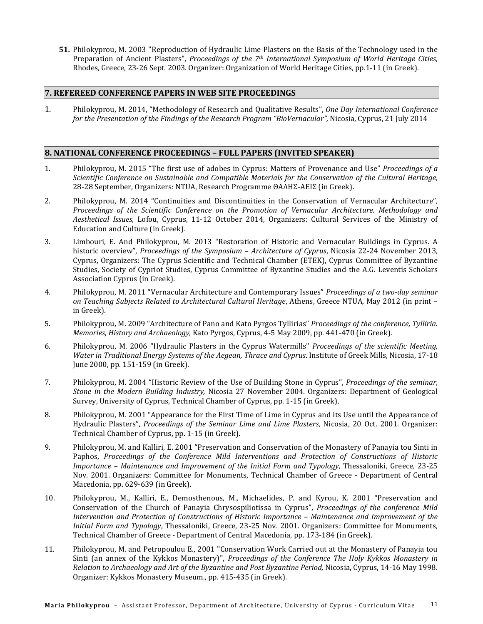**51.** Philokyprou, M. 2003 "Reproduction of Hydraulic Lime Plasters on the Basis of the Technology used in the Preparation of Ancient Plasters", *Proceedings of the 7th International Symposium of World Heritage Cities*, Rhodes, Greece, 23-26 Sept. 2003. Organizer: Organization of World Heritage Cities, pp.1-11 (in Greek).

# **7. REFEREED CONFERENCE PAPERS IN WEB SITE PROCEEDINGS**

1. Philokyprou, M. 2014, "Methodology of Research and Qualitative Results", *One Day International Conference for the Presentation of the Findings of the Research Program "BioVernacular",* Nicosia, Cyprus, 21 July 2014

# **8. NATIONAL CONFERENCE PROCEEDINGS – FULL PAPERS (INVITED SPEAKER)**

- 1. Philokyprou, Μ. 2015 "The first use of adobes in Cyprus: Matters of Provenance and Use" *Proceedings of a Scientific Conference on Sustainable and Compatible Materials for the Conservation of the Cultural Heritage*, 28-28 September, Organizers: ΝΤUA, Research Programme ΘΑΛΗΣ-ΑΕΙΣ (in Greek).
- 2. Philokyprou, M. 2014 "Continuities and Discontinuities in the Conservation of Vernacular Architecture", *Proceedings of the Scientific Conference on the Promotion of Vernacular Architecture. Methodology and Aesthetical Issues*, Lofou, Cyprus, 11-12 October 2014, Organizers: Cultural Services of the Ministry of Education and Culture (in Greek).
- 3. Limbouri, E. And Philokyprou, M. 2013 "Restoration of Historic and Vernacular Buildings in Cyprus. A historic overview", *Proceedings of the Symposium – Architecture of Cyprus*, Nicosia 22-24 November 2013, Cyprus, Organizers: The Cyprus Scientific and Technical Chamber (ETEK), Cyprus Committee of Byzantine Studies, Society of Cypriot Studies, Cyprus Committee of Byzantine Studies and the A.G. Leventis Scholars Association Cyprus (in Greek).
- 4. Philokyprou, M. 2011 "Vernacular Architecture and Contemporary Issues" *Proceedings of a two-day seminar on Teaching Subjects Related to Architectural Cultural Heritage*, Athens, Greece NTUA, May 2012 (in print – in Greek).
- 5. Philokyprou, M. 2009 "Architecture of Pano and Kato Pyrgos Tyllirias" *Proceedings of the conference, Tylliria. Memories, History and Archaeology*, Kato Pyrgos, Cyprus, 4-5 May 2009, pp. 441-470 (in Greek).
- 6. Philokyprou, M. 2006 "Hydraulic Plasters in the Cyprus Watermills" *Proceedings of the scientific Meeting, Water in Traditional Energy Systems of the Aegean, Thrace and Cyprus*. Institute of Greek Mills, Nicosia, 17-18 June 2000, pp. 151-159 (in Greek).
- 7. Philokyprou, M. 2004 "Historic Review of the Use of Building Stone in Cyprus", *Proceedings of the seminar, Stone in the Modern Building Industry,* Nicosia 27 November 2004. Organizers: Department of Geological Survey, University of Cyprus, Technical Chamber of Cyprus, pp. 1-15 (in Greek).
- 8. Philokyprou, M. 2001 "Appearance for the First Time of Lime in Cyprus and its Use until the Appearance of Hydraulic Plasters", *Proceedings of the Seminar Lime and Lime Plasters*, Nicosia, 20 Oct. 2001. Organizer: Technical Chamber of Cyprus, pp. 1-15 (in Greek).
- 9. Philokyprou, M. and Kalliri, E. 2001 "Preservation and Conservation of the Monastery of Panayia tou Sinti in Paphos, *Proceedings of the Conference Mild Interventions and Protection of Constructions of Historic Importance – Maintenance and Improvement of the Initial Form and Typology*, Thessaloniki, Greece, 23-25 Nov. 2001. Organizers: Committee for Monuments, Technical Chamber of Greece - Department of Central Macedonia, pp. 629-639 (in Greek).
- 10. Philokyprou, M., Kalliri, E., Demosthenous, M., Michaelides, P. and Κyrou, K. 2001 "Preservation and Conservation of the Church of Panayia Chrysospiliotissa in Cyprus", *Proceedings of the conference Mild Intervention and Protection of Constructions of Historic Importance – Maintenance and Improvement of the Initial Form and Typology*, Thessaloniki, Greece, 23-25 Nov. 2001. Organizers: Committee for Monuments, Technical Chamber of Greece - Department of Central Macedonia, pp. 173-184 (in Greek).
- 11. Philokyprou, M. and Petropoulou E., 2001 "Conservation Work Carried out at the Monastery of Panayia tou Sinti (an annex of the Kykkos Monastery)", *Proceedings of the Conference The Holy Kykkos Monastery in Relation to Archaeology and Art of the Byzantine and Post Byzantine Period,* Nicosia, Cyprus, 14-16 May 1998. Organizer: Kykkos Monastery Museum., pp. 415-435 (in Greek).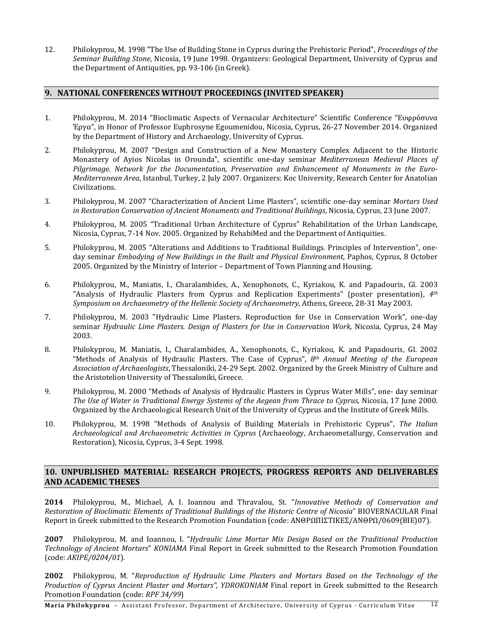12. Philokyprou, M. 1998 "The Use of Building Stone in Cyprus during the Prehistoric Period", *Proceedings of the Seminar Building Stone*, Nicosia, 19 June 1998. Organizers: Geological Department, University of Cyprus and the Department of Antiquities, pp. 93-106 (in Greek).

# **9. NATIONAL CONFERENCES WITHOUT PROCEEDINGS (INVITED SPEAKER)**

- 1. Philokyprou, M. 2014 "Bioclimatic Aspects of Vernacular Architecture" Scientific Conference "Ευφρόσυνα Έργα", in Honor of Professor Euphrosyne Egoumenidou, Nicosia, Cyprus, 26-27 November 2014. Organized by the Department of History and Archaeology, University of Cyprus.
- 2. Philokyprou, M. 2007 "Design and Construction of a New Monastery Complex Adjacent to the Historic Monastery of Ayios Nicolas in Orounda", scientific one-day seminar *Mediterranean Medieval Places of Pilgrimage. Νetwork for the Documentation, Preservation and Enhancement of Monuments in the Euro-Mediterranean Area*, Istanbul, Turkey, 2 July 2007. Organizers: Κoc University, Research Center for Anatolian Civilizations.
- 3. Philokyprou, M. 2007 "Characterization of Ancient Lime Plasters", scientific one-day seminar *Mortars Used in Restoration Conservation of Ancient Monuments and Traditional Buildings*, Nicosia, Cyprus, 23 June 2007.
- 4. Philokyprou, M. 2005 "Traditional Urban Architecture of Cyprus" Rehabilitation of the Urban Landscape, Nicosia, Cyprus, 7-14 Nov. 2005. Organized by RehabiMed and the Department of Antiquities.
- 5. Philokyprou, M. 2005 "Alterations and Additions to Traditional Buildings. Principles of Intervention", oneday seminar *Embodying of New Buildings in the Built and Physical Environment*, Paphos, Cyprus, 8 October 2005. Organized by the Ministry of Interior – Department of Town Planning and Housing.
- 6. Philokyprou, M., Maniatis, I., Charalambides, A., Xenophonots, C., Kyriakou, K. and Papadouris, Gl. 2003 "Analysis of Hydraulic Plasters from Cyprus and Replication Experiments" (poster presentation), *4th Symposium on Archaeometry of the Hellenic Society of Archaeometry*, Athens, Greece, 28-31 May 2003.
- 7. Philokyprou, M. 2003 "Hydraulic Lime Plasters. Reproduction for Use in Conservation Work", one-day seminar *Hydraulic Lime Plasters. Design of Plasters for Use in Conservation Work*, Nicosia, Cyprus, 24 May 2003.
- 8. Philokyprou, M. Maniatis, I., Charalambides, A., Xenophonots, C., Kyriakou, K. and Papadouris, Gl. 2002 "Methods of Analysis of Hydraulic Plasters. The Case of Cyprus", *8th Annual Meeting of the European Association of Archaeologists*, Thessaloniki, 24-29 Sept. 2002. Organized by the Greek Ministry of Culture and the Aristotelion University of Thessaloniki, Greece.
- 9. Philokyprou, M. 2000 "Methods of Analysis of Hydraulic Plasters in Cyprus Water Mills", one- day seminar *The Use of Water in Traditional Energy Systems of the Aegean from Thrace to Cyprus,* Nicosia, 17 June 2000. Organized by the Archaeological Research Unit of the University of Cyprus and the Institute of Greek Mills.
- 10. Philokyprou, M. 1998 "Methods of Analysis of Building Materials in Prehistoric Cyprus", *The Italian Archaeological and Archaeometric Activities in Cyprus* (Archaeology, Archaeometallurgy, Conservation and Restoration), Nicosia, Cyprus, 3-4 Sept. 1998.

# **10. UNPUBLISHED MATERIAL: RESEARCH PROJECTS, PROGRESS REPORTS AND DELIVERABLES AND ACADEMIC THESES**

**2014** Philokyprou, M., Michael, A. I. Ioannou and Thravalou, St. "*Innovative Methods of Conservation and Restoration of Bioclimatic Elements of Traditional Buildings of the Historic Centre of Nicosia*" BIOVERNACULAR Final Report in Greek submitted to the Research Promotion Foundation (code: ANΘΡΩΠΙΣΤΙΚΕΣ/ΑΝΘΡΩ/0609(ΒΙΕ)07).

**2007** Philokyprou, M. and Ioannou, I. "*Hydraulic Lime Mortar Mix Design Based on the Traditional Production Technology of Ancient Mortars*" *KONIAMA* Final Report in Greek submitted to the Research Promotion Foundation (code: *AKIPE/0204/01*)*.*

**2002** Philokyprou, M. "*Reproduction of Hydraulic Lime Plasters and Mortars Based on the Technology of the Production of Cyprus Ancient Plaster and Mortars", YDROKONIAM* Final report in Greek submitted to the Research Promotion Foundation (code: *RPF 34/99*)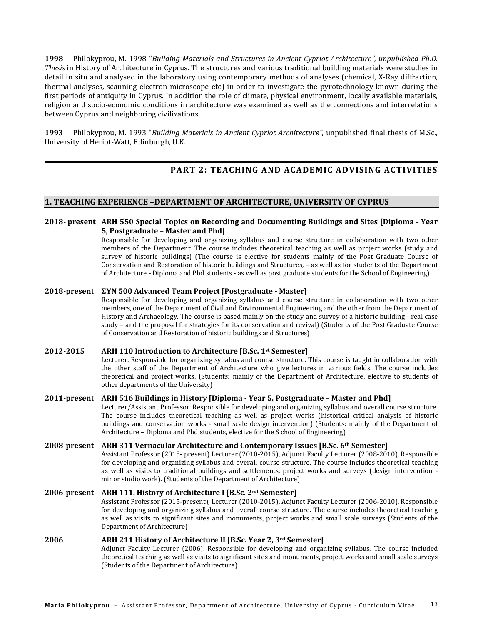**1998** Philokyprou, M. 1998 "*Building Materials and Structures in Ancient Cypriot Architecture", unpublished Ph.D. Thesis* in History of Architecture in Cyprus. The structures and various traditional building materials were studies in detail in situ and analysed in the laboratory using contemporary methods of analyses (chemical, X-Ray diffraction, thermal analyses, scanning electron microscope etc) in order to investigate the pyrotechnology known during the first periods of antiquity in Cyprus. In addition the role of climate, physical environment, locally available materials, religion and socio-economic conditions in architecture was examined as well as the connections and interrelations between Cyprus and neighboring civilizations.

**1993** Philokyprou, M. 1993 "*Building Materials in Ancient Cypriot Architecture",* unpublished final thesis of M.Sc., University of Heriot-Watt, Edinburgh, U.K.

# **PART 2: TEACHING AND ACADEMIC ADVISING ACTIVITIES**

#### **1. TEACHING EXPERIENCE –DEPARTMENT OF ARCHITECTURE, UNIVERSITY OF CYPRUS**

#### **2018- present ARH 550 Special Topics on Recording and Documenting Buildings and Sites [Diploma - Year 5, Postgraduate – Master and Phd]**

Responsible for developing and organizing syllabus and course structure in collaboration with two other members of the Department. The course includes theoretical teaching as well as project works (study and survey of historic buildings) (The course is elective for students mainly of the Post Graduate Course of Conservation and Restoration of historic buildings and Structures, – as well as for students of the Department of Architecture - Diploma and Phd students - as well as post graduate students for the School of Engineering)

#### **2018-present ΣΥΝ 500 Advanced Team Project [Postgraduate - Master]**

Responsible for developing and organizing syllabus and course structure in collaboration with two other members, one of the Department of Civil and Environmental Engineering and the other from the Department of History and Archaeology. The course is based mainly on the study and survey of a historic building - real case study – and the proposal for strategies for its conservation and revival) (Students of the Post Graduate Course of Conservation and Restoration of historic buildings and Structures)

#### **2012-2015 ARH 110 Introduction to Architecture [B.Sc. 1st Semester]**

Lecturer. Responsible for organizing syllabus and course structure. This course is taught in collaboration with the other staff of the Department of Architecture who give lectures in various fields. The course includes theoretical and project works. (Students: mainly of the Department of Architecture, elective to students of other departments of the University)

#### **2011-present ARH 516 Buildings in History [Diploma - Year 5, Postgraduate – Master and Phd]**

Lecturer/Assistant Professor. Responsible for developing and organizing syllabus and overall course structure. The course includes theoretical teaching as well as project works (historical critical analysis of historic buildings and conservation works - small scale design intervention) (Students: mainly of the Department of Architecture – Diploma and Phd students, elective for the S chool of Engineering)

#### **2008-present ARΗ 311 Vernacular Architecture and Contemporary Issues [B.Sc. 6th Semester]**

Assistant Professor (2015- present) Lecturer (2010-2015), Adjunct Faculty Lecturer (2008-2010). Responsible for developing and organizing syllabus and overall course structure. The course includes theoretical teaching as well as visits to traditional buildings and settlements, project works and surveys (design intervention minor studio work). (Students of the Department of Architecture)

#### **2006-present ARH 111. History of Architecture I [B.Sc. 2nd Semester]**

Assistant Professor (2015-present), Lecturer (2010-2015), Adjunct Faculty Lecturer (2006-2010). Responsible for developing and organizing syllabus and overall course structure. The course includes theoretical teaching as well as visits to significant sites and monuments, project works and small scale surveys (Students of the Department of Architecture)

# **2006 ARH 211 History of Architecture II [B.Sc. Year 2, 3rd Semester]**

Adjunct Faculty Lecturer (2006). Responsible for developing and organizing syllabus. The course included theoretical teaching as well as visits to significant sites and monuments, project works and small scale surveys (Students of the Department of Architecture).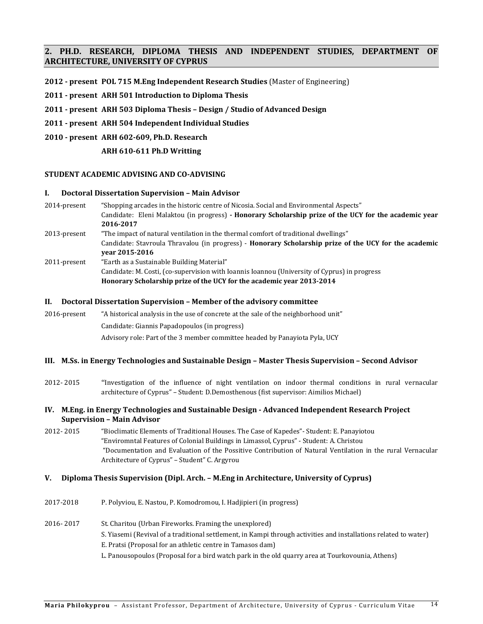# **2. PH.D. RESEARCH, DIPLOMA THESIS AND INDEPENDENT STUDIES, DEPARTMENT OF ARCHITECTURE, UNIVERSITY OF CYPRUS**

- **2012 - present POL 715 M.Eng Independent Research Studies** (Master of Engineering)
- **2011 - present ARH 501 Introduction to Diploma Thesis**
- **2011 - present ARH 503 Diploma Thesis – Design / Studio of Advanced Design**
- **2011 - present ARH 504 Independent Individual Studies**
- **2010 - present ARH 602-609, Ph.D. Research**
	- **ARH 610-611 Ph.D Writting**

#### **STUDENT ACADEMIC ADVISING AND CO-ADVISING**

#### **I. Doctoral Dissertation Supervision – Main Advisor**

2014-present "Shopping arcades in the historic centre of Nicosia. Social and Environmental Aspects" Candidate: Eleni Malaktou (in progress) **- Honorary Scholarship prize of the UCY for the academic year 2016-2017** 2013-present "The impact of natural ventilation in the thermal comfort of traditional dwellings" Candidate: Stavroula Thravalou (in progress) - **Honorary Scholarship prize of the UCY for the academic year 2015-2016** 2011-present "Earth as a Sustainable Building Material" Candidate: M. Costi, (co-supervision with Ioannis Ioannou (University of Cyprus) in progress **Honorary Scholarship prize of the UCY for the academic year 2013-2014**

#### **II. Doctoral Dissertation Supervision – Member of the advisory committee**

2016-present "A historical analysis in the use of concrete at the sale of the neighborhood unit" Candidate: Giannis Papadopoulos (in progress) Advisory role: Part of the 3 member committee headed by Panayiota Pyla, UCY

#### **III. M.Ss. in Energy Technologies and Sustainable Design – Master Thesis Supervision – Second Advisor**

2012- 2015 "Investigation of the influence of night ventilation on indoor thermal conditions in rural vernacular architecture of Cyprus" – Student: D.Demosthenous (fist supervisor: Aimilios Michael)

#### **IV. M.Eng. in Energy Technologies and Sustainable Design - Advanced Independent Research Project Supervision – Main Advisor**

2012- 2015 "Bioclimatic Elements of Traditional Houses. The Case of Kapedes"- Student: E. Panayiotou "Enviromntal Features of Colonial Buildings in Limassol, Cyprus" - Student: A. Christou "Documentation and Evaluation of the Possitive Contribution of Natural Ventilation in the rural Vernacular Architecture of Cyprus" – Student" C. Argyrou

#### **V. Diploma Thesis Supervision (Dipl. Arch. – M.Eng in Architecture, University of Cyprus)**

2017-2018 P. Polyviou, E. Nastou, P. Komodromou, I. Hadjipieri (in progress)

# 2016- 2017 St. Charitou (Urban Fireworks. Framing the unexplored) S. Yiasemi (Revival of a traditional settlement, in Kampi through activities and installations related to water) E. Pratsi (Proposal for an athletic centre in Tamasos dam) L. Panousopoulos (Proposal for a bird watch park in the old quarry area at Tourkovounia, Athens)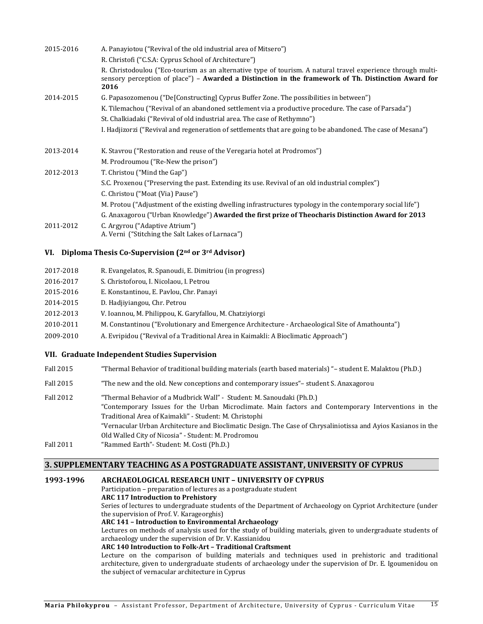| 2015-2016 | A. Panayiotou ("Revival of the old industrial area of Mitsero")                                                                                                                                                             |
|-----------|-----------------------------------------------------------------------------------------------------------------------------------------------------------------------------------------------------------------------------|
|           | R. Christofi ("C.S.A: Cyprus School of Architecture")                                                                                                                                                                       |
|           | R. Christodoulou ("Eco-tourism as an alternative type of tourism. A natural travel experience through multi-<br>sensory perception of place") - Awarded a Distinction in the framework of Th. Distinction Award for<br>2016 |
| 2014-2015 | G. Papasozomenou ("De[Constructing] Cyprus Buffer Zone. The possibilities in between")                                                                                                                                      |
|           | K. Tilemachou ("Revival of an abandoned settlement via a productive procedure. The case of Parsada")                                                                                                                        |
|           | St. Chalkiadaki ("Revival of old industrial area. The case of Rethymno")                                                                                                                                                    |
|           | I. Hadjizorzi ("Revival and regeneration of settlements that are going to be abandoned. The case of Mesana")                                                                                                                |
| 2013-2014 | K. Stavrou ("Restoration and reuse of the Veregaria hotel at Prodromos")                                                                                                                                                    |
|           | M. Prodroumou ("Re-New the prison")                                                                                                                                                                                         |
| 2012-2013 | T. Christou ("Mind the Gap")                                                                                                                                                                                                |
|           | S.C. Proxenou ("Preserving the past. Extending its use. Revival of an old industrial complex")                                                                                                                              |
|           | C. Christou ("Moat (Via) Pause")                                                                                                                                                                                            |
|           | M. Protou ("Adjustment of the existing dwelling infrastructures typology in the contemporary social life")                                                                                                                  |
|           | G. Anaxagorou ("Urban Knowledge") Awarded the first prize of Theocharis Distinction Award for 2013                                                                                                                          |
| 2011-2012 | C. Argyrou ("Adaptive Atrium")<br>A. Verni ("Stitching the Salt Lakes of Larnaca")                                                                                                                                          |
|           |                                                                                                                                                                                                                             |

# **VI. Diploma Thesis Co-Supervision (2nd or 3rd Advisor)**

| 2017-2018 | R. Evangelatos, R. Spanoudi, E. Dimitriou (in progress)                                         |
|-----------|-------------------------------------------------------------------------------------------------|
| 2016-2017 | S. Christoforou, I. Nicolaou, I. Petrou                                                         |
| 2015-2016 | E. Konstantinou, E. Pavlou, Chr. Panayi                                                         |
| 2014-2015 | D. Hadjiyiangou, Chr. Petrou                                                                    |
| 2012-2013 | V. Ioannou, M. Philippou, K. Garyfallou, M. Chatziviorgi                                        |
| 2010-2011 | M. Constantinou ("Evolutionary and Emergence Architecture - Archaeological Site of Amathounta") |
| 2009-2010 | A. Evripidou ("Revival of a Traditional Area in Kaimakli: A Bioclimatic Approach")              |
|           |                                                                                                 |

#### **VII. Graduate Independent Studies Supervision**

| Fall 2015 | "Thermal Behavior of traditional building materials (earth based materials) "- student E. Malaktou (Ph.D.) |
|-----------|------------------------------------------------------------------------------------------------------------|
|-----------|------------------------------------------------------------------------------------------------------------|

- Fall 2015 "The new and the old. New conceptions and contemporary issues" student S. Anaxagorou
- Fall 2012 "Thermal Behavior of a Mudbrick Wall" Student: M. Sanoudaki (Ph.D.) "Contemporary Issues for the Urban Microclimate. Main factors and Contemporary Interventions in the Traditional Area of Kaimakli" - Student: M. Christophi "Vernacular Urban Architecture and Bioclimatic Design. The Case of Chrysaliniotissa and Ayios Kasianos in the Old Walled City of Nicosia" - Student: M. Prodromou Fall 2011 "Rammed Earth"- Student: M. Costi (Ph.D.)

#### **3. SUPPLEMENTARY TEACHING AS A POSTGRADUATE ASSISTANT, UNIVERSITY OF CYPRUS**

### **1993-1996 ARCHAEOLOGICAL RESEARCH UNIT – UNIVERSITY OF CYPRUS**

Participation – preparation of lectures as a postgraduate student **ARC 117 Introduction to Prehistory**  Series of lectures to undergraduate students of the Department of Archaeology on Cypriot Architecture (under the supervision of Prof. V. Karageorghis)

#### **ARC 141 – Introduction to Environmental Archaeology**

Lectures on methods of analysis used for the study of building materials, given to undergraduate students of archaeology under the supervision of Dr. V. Kassianidou

#### **ARC 140 Introduction to Folk-Art – Traditional Craftsment**

Lecture on the comparison of building materials and techniques used in prehistoric and traditional architecture, given to undergraduate students of archaeology under the supervision of Dr. E. Igoumenidou on the subject of vernacular architecture in Cyprus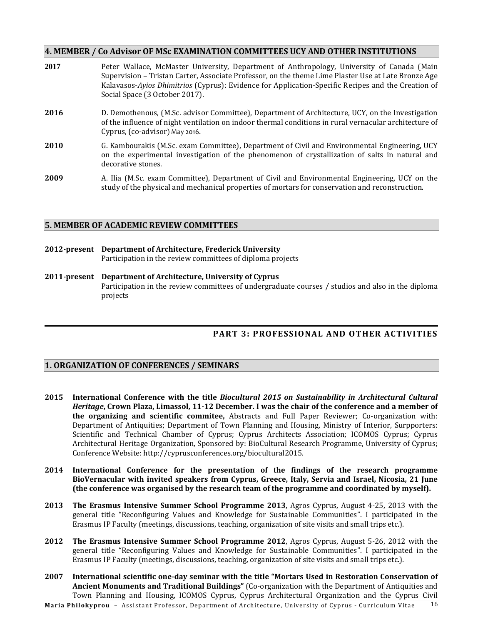# **4. MEMBER / Co Advisor OF MSc EXAMINATION COMMITTEES UCY AND OTHER INSTITUTIONS**

| 2017 | Peter Wallace, McMaster University, Department of Anthropology, University of Canada (Main<br>Supervision – Tristan Carter, Associate Professor, on the theme Lime Plaster Use at Late Bronze Age<br>Kalavasos-Ayios Dhimitrios (Cyprus): Evidence for Application-Specific Recipes and the Creation of<br>Social Space (3 October 2017). |
|------|-------------------------------------------------------------------------------------------------------------------------------------------------------------------------------------------------------------------------------------------------------------------------------------------------------------------------------------------|
| 2016 | D. Demothenous, (M.Sc. advisor Committee), Department of Architecture, UCY, on the Investigation<br>of the influence of night ventilation on indoor thermal conditions in rural vernacular architecture of<br>Cyprus, (co-advisor) May 2016.                                                                                              |
| 2010 | G. Kambourakis (M.Sc. exam Committee), Department of Civil and Environmental Engineering, UCY<br>on the experimental investigation of the phenomenon of crystallization of salts in natural and<br>decorative stones.                                                                                                                     |
| 2009 | A. Ilia (M.Sc. exam Committee), Department of Civil and Environmental Engineering, UCY on the<br>study of the physical and mechanical properties of mortars for conservation and reconstruction.                                                                                                                                          |

# **5. MEMBER OF ACADEMIC REVIEW COMMITTEES**

- **2012-present Department of Architecture, Frederick University** Participation in the review committees of diploma projects
- **2011-present Department of Architecture, University of Cyprus** Participation in the review committees of undergraduate courses / studios and also in the diploma projects

# **PART 3: PROFESSIONAL AND OTHER ACTIVITIES**

# **1. ORGANIZATION OF CONFERENCES / SEMINARS**

- **2015 International Conference with the title** *Biocultural 2015 on Sustainability in Architectural Cultural Heritage***, Crown Plaza, Limassol, 11-12 December. I was the chair of the conference and a member of the organizing and scientific commitee,** Abstracts and Full Paper Reviewer; Co-organization with: Department of Antiquities; Department of Town Planning and Housing, Ministry of Interior, Surpporters: Scientific and Technical Chamber of Cyprus; Cyprus Architects Association; ICOMOS Cyprus; Cyprus Architectural Heritage Organization, Sponsored by: BioCultural Research Programme, University of Cyprus; Conference Website: http://cyprusconferences.org/biocultural2015.
- **2014 International Conference for the presentation of the findings of the research programme BioVernacular with invited speakers from Cyprus, Greece, Italy, Servia and Israel, Nicosia, 21 June (the conference was organised by the research team of the programme and coordinated by myself).**
- **2013 The Erasmus Intensive Summer School Programme 2013**, Agros Cyprus, August 4-25, 2013 with the general title "Reconfiguring Values and Knowledge for Sustainable Communities". I participated in the Erasmus IP Faculty (meetings, discussions, teaching, organization of site visits and small trips etc.).
- **2012 The Erasmus Intensive Summer School Programme 2012**, Agros Cyprus, August 5-26, 2012 with the general title "Reconfiguring Values and Knowledge for Sustainable Communities". I participated in the Erasmus IP Faculty (meetings, discussions, teaching, organization of site visits and small trips etc.).
- **2007 International scientific one-day seminar with the title "Mortars Used in Restoration Conservation of Ancient Monuments and Traditional Buildings"** (Co-organization with the Department of Antiquities and Town Planning and Housing, ICOMOS Cyprus, Cyprus Architectural Organization and the Cyprus Civil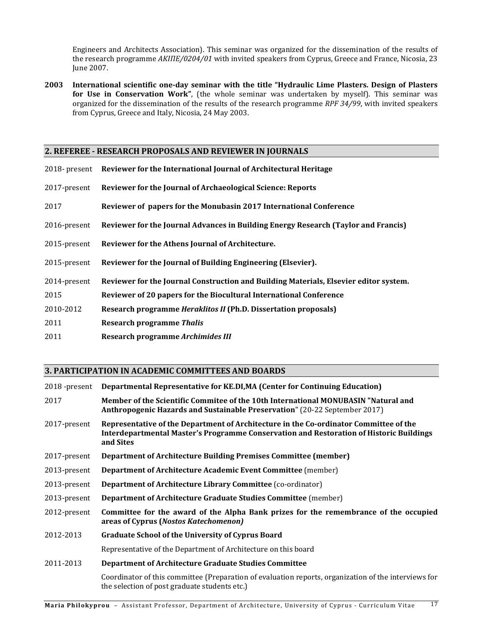Engineers and Architects Association). This seminar was organized for the dissemination of the results of the research programme *ΑΚΙΠΕ/0204/01* with invited speakers from Cyprus, Greece and France, Nicosia, 23 June 2007.

**2003 International scientific one-day seminar with the title "Hydraulic Lime Plasters. Design of Plasters for Use in Conservation Work"**, (the whole seminar was undertaken by myself). This seminar was organized for the dissemination of the results of the research programme *RPF 34/99*, with invited speakers from Cyprus, Greece and Italy, Nicosia, 24 May 2003.

# **2. REFEREE - RESEARCH PROPOSALS AND REVIEWER IN JOURNALS**

|              | 2018- present Reviewer for the International Journal of Architectural Heritage        |
|--------------|---------------------------------------------------------------------------------------|
| 2017-present | Reviewer for the Journal of Archaeological Science: Reports                           |
| 2017         | Reviewer of papers for the Monubasin 2017 International Conference                    |
| 2016-present | Reviewer for the Journal Advances in Building Energy Research (Taylor and Francis)    |
| 2015-present | Reviewer for the Athens Journal of Architecture.                                      |
| 2015-present | Reviewer for the Journal of Building Engineering (Elsevier).                          |
| 2014-present | Reviewer for the Journal Construction and Building Materials, Elsevier editor system. |
| 2015         | Reviewer of 20 papers for the Biocultural International Conference                    |
| 2010-2012    | Research programme <i>Heraklitos II</i> (Ph.D. Dissertation proposals)                |
| 2011         | <b>Research programme Thalis</b>                                                      |
| 2011         | Research programme Archimides III                                                     |

# **3. PARTICIPATION IN ACADEMIC COMMITTEES AND BOARDS**

| 2018 -present | Departmental Representative for KE.DI, MA (Center for Continuing Education)                                                                                                                   |  |
|---------------|-----------------------------------------------------------------------------------------------------------------------------------------------------------------------------------------------|--|
| 2017          | Member of the Scientific Commitee of the 10th International MONUBASIN "Natural and<br><b>Anthropogenic Hazards and Sustainable Preservation"</b> (20-22 September 2017)                       |  |
| 2017-present  | Representative of the Department of Architecture in the Co-ordinator Committee of the<br>Interdepartmental Master's Programme Conservation and Restoration of Historic Buildings<br>and Sites |  |
| 2017-present  | <b>Department of Architecture Building Premises Committee (member)</b>                                                                                                                        |  |
| 2013-present  | Department of Architecture Academic Event Committee (member)                                                                                                                                  |  |
| 2013-present  | Department of Architecture Library Committee (co-ordinator)                                                                                                                                   |  |
| 2013-present  | Department of Architecture Graduate Studies Committee (member)                                                                                                                                |  |
| 2012-present  | Committee for the award of the Alpha Bank prizes for the remembrance of the occupied<br>areas of Cyprus (Nostos Katechomenon)                                                                 |  |
| 2012-2013     | <b>Graduate School of the University of Cyprus Board</b>                                                                                                                                      |  |
|               | Representative of the Department of Architecture on this board                                                                                                                                |  |
| 2011-2013     | <b>Department of Architecture Graduate Studies Committee</b>                                                                                                                                  |  |
|               | Coordinator of this committee (Preparation of evaluation reports, organization of the interviews for<br>the selection of post graduate students etc.)                                         |  |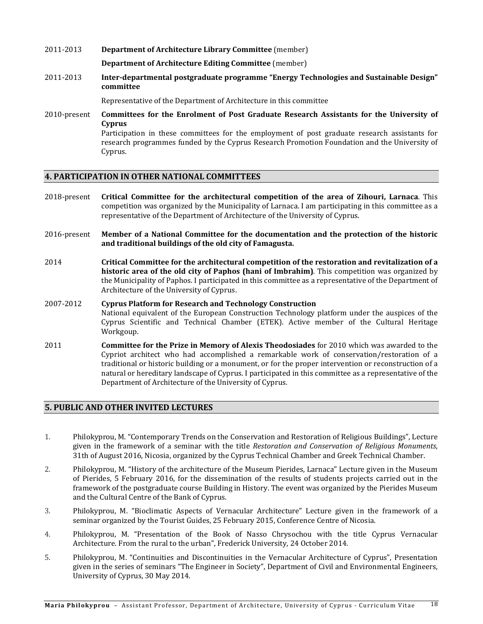# 2011-2013 **Department of Architecture Library Committee** (member)

**Department of Architecture Editing Committee** (member)

2011-2013 **Inter-departmental postgraduate programme "Energy Technologies and Sustainable Design" committee**

Representative of the Department of Architecture in this committee

2010-present **Committees for the Enrolment of Post Graduate Research Assistants for the University of Cyprus** Participation in these committees for the employment of post graduate research assistants for research programmes funded by the Cyprus Research Promotion Foundation and the University of

### **4. PARTICIPATION IN OTHER NATIONAL COMMITTEES**

Cyprus.

- 2018-present **Critical Committee for the architectural competition of the area of Zihouri, Larnaca**. This competition was organized by the Municipality of Larnaca. I am participating in this committee as a representative of the Department of Architecture of the University of Cyprus.
- 2016-present **Member of a National Committee for the documentation and the protection of the historic and traditional buildings of the old city of Famagusta.**
- 2014 **Critical Committee for the architectural competition of the restoration and revitalization of a historic area of the old city of Paphos (hani of Imbrahim)**. This competition was organized by the Municipality of Paphos. I participated in this committee as a representative of the Department of Architecture of the University of Cyprus.

# 2007-2012 **Cyprus Platform for Research and Τechnology Construction**

- National equivalent of the European Construction Technology platform under the auspices of the Cyprus Scientific and Technical Chamber (ETEK). Active member of the Cultural Heritage Workgoup.
- 2011 **Committee for the Prize in Memory of Alexis Theodosiades** for 2010 which was awarded to the Cypriot architect who had accomplished a remarkable work of conservation/restoration of a traditional or historic building or a monument, or for the proper intervention or reconstruction of a natural or hereditary landscape of Cyprus. I participated in this committee as a representative of the Department of Architecture of the University of Cyprus.

# **5. PUBLIC AND OTHER INVITED LECTURES**

- 1. Philokyprou, M. "Contemporary Trends on the Conservation and Restoration of Religious Buildings", Lecture given in the framework of a seminar with the title *Restoration and Conservation of Religious Monuments*, 31th of August 2016, Nicosia, organized by the Cyprus Technical Chamber and Greek Technical Chamber.
- 2. Philokyprou, M. "History of the architecture of the Museum Pierides, Larnaca" Lecture given in the Museum of Pierides, 5 February 2016, for the dissemination of the results of students projects carried out in the framework of the postgraduate course Building in History. The event was organized by the Pierides Museum and the Cultural Centre of the Bank of Cyprus.
- 3. Philokyprou, M. "Bioclimatic Aspects of Vernacular Architecture" Lecture given in the framework of a seminar organized by the Tourist Guides, 25 February 2015, Conference Centre of Nicosia.
- 4. Philokyprou, M. "Presentation of the Book of Nasso Chrysochou with the title Cyprus Vernacular Architecture. From the rural to the urban", Frederick University, 24 October 2014.
- 5. Philokyprou, M. "Continuities and Discontinuities in the Vernacular Architecture of Cyprus", Presentation given in the series of seminars "The Engineer in Society", Department of Civil and Environmental Engineers, University of Cyprus, 30 May 2014.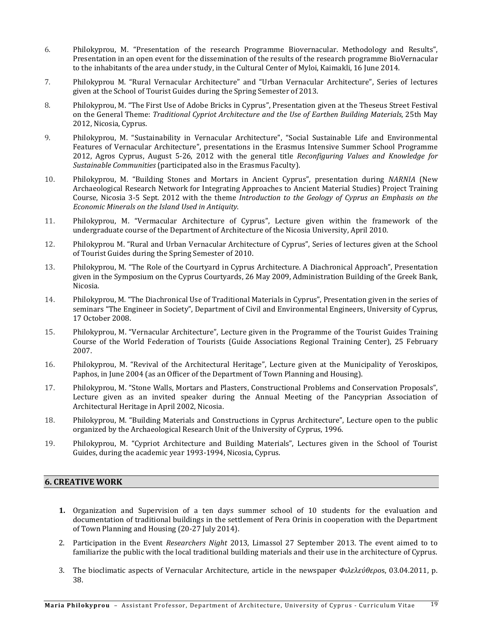- 6. Philokyprou, M. "Presentation of the research Programme Biovernacular. Methodology and Results", Presentation in an open event for the dissemination of the results of the research programme BioVernacular to the inhabitants of the area under study, in the Cultural Center of Myloi, Kaimakli, 16 June 2014.
- 7. Philokyprou M. "Rural Vernacular Architecture" and "Urban Vernacular Architecture", Series of lectures given at the School of Tourist Guides during the Spring Semester of 2013.
- 8. Philokyprou, M. "The First Use of Adobe Bricks in Cyprus", Presentation given at the Theseus Street Festival on the General Theme: *Traditional Cypriot Architecture and the Use of Earthen Building Materials*, 25th May 2012, Nicosia, Cyprus.
- 9. Philokyprou, M. "Sustainability in Vernacular Architecture", "Social Sustainable Life and Environmental Features of Vernacular Architecture", presentations in the Erasmus Intensive Summer School Programme 2012, Agros Cyprus, August 5-26, 2012 with the general title *Reconfiguring Values and Knowledge for Sustainable Communities* (participated also in the Erasmus Faculty).
- 10. Philokyprou, M. "Building Stones and Mortars in Ancient Cyprus", presentation during *NARNIA* (New Archaeological Research Network for Integrating Approaches to Ancient Material Studies) Project Training Course, Nicosia 3-5 Sept. 2012 with the theme *Introduction to the Geology of Cyprus an Emphasis on the Economic Minerals on the Island Used in Antiquity*.
- 11. Philokyprou, M. "Vermacular Architecture of Cyprus", Lecture given within the framework of the undergraduate course of the Department of Architecture of the Nicosia University, April 2010.
- 12. Philokyprou M. "Rural and Urban Vernacular Architecture of Cyprus", Series of lectures given at the School of Tourist Guides during the Spring Semester of 2010.
- 13. Philokyprou, M. "The Role of the Courtyard in Cyprus Architecture. A Diachronical Approach", Presentation given in the Symposium on the Cyprus Courtyards, 26 May 2009, Administration Building of the Greek Bank, Nicosia.
- 14. Philokyprou, M. "The Diachronical Use of Traditional Materials in Cyprus", Presentation given in the series of seminars "The Engineer in Society", Department of Civil and Environmental Engineers, University of Cyprus, 17 October 2008.
- 15. Philokyprou, M. "Vernacular Architecture", Lecture given in the Programme of the Tourist Guides Training Course of the World Federation of Tourists (Guide Associations Regional Training Center), 25 February 2007.
- 16. Philokyprou, M. "Revival of the Architectural Heritage", Lecture given at the Municipality of Yeroskipos, Paphos, in June 2004 (as an Officer of the Department of Town Planning and Housing).
- 17. Philokyprou, M. "Stone Walls, Mortars and Plasters, Constructional Problems and Conservation Proposals", Lecture given as an invited speaker during the Annual Meeting of the Pancyprian Association of Architectural Heritage in April 2002, Nicosia.
- 18. Philokyprou, M. "Building Materials and Constructions in Cyprus Architecture", Lecture open to the public organized by the Archaeological Research Unit of the University of Cyprus, 1996.
- 19. Philokyprou, M. "Cypriot Architecture and Building Materials", Lectures given in the School of Tourist Guides, during the academic year 1993-1994, Nicosia, Cyprus.

# **6. CREATIVE WORK**

- **1.** Organization and Supervision of a ten days summer school of 10 students for the evaluation and documentation of traditional buildings in the settlement of Pera Orinis in cooperation with the Department of Town Planning and Housing (20-27 July 2014).
- 2. Participation in the Event *Researchers Night* 2013, Limassol 27 September 2013. The event aimed to to familiarize the public with the local traditional building materials and their use in the architecture of Cyprus.
- 3. The bioclimatic aspects of Vernacular Architecture, article in the newspaper *Φιλελεύθερο*s, 03.04.2011, p. 38.